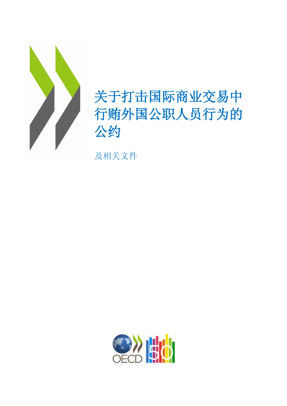

# 关于打击国际商业交易中 行贿外国公职人员行为的 公约

及相关文件

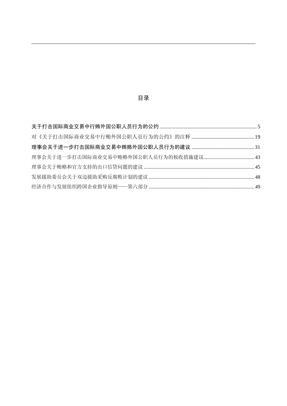## 目录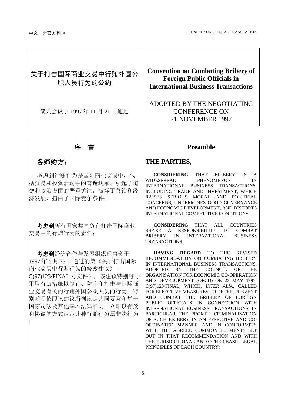<span id="page-2-0"></span>

| 关于打击国际商业交易中行贿外国公<br>职人员行为的公约 | <b>Convention on Combating Bribery of</b><br><b>Foreign Public Officials in</b><br><b>International Business Transactions</b> |
|------------------------------|-------------------------------------------------------------------------------------------------------------------------------|
| 谈判会议于 1997年11月21日通过          | ADOPTED BY THE NEGOTIATING<br><b>CONFERENCE ON</b><br>21 NOVEMBER 1997                                                        |

;

考虑到行贿行为是国际商业交易中, 包 括贸易和投资活动中的普遍现象,引起了道 德和政治方面的严重关注,破坏了善治和经 济发展, 扭曲了国际竞争条件:

考虑到所有国家共同负有打击国际商业 交易中的行贿行为的责任;

考虑到经济合作与发展组织理事会于 1997 年 5 月 23 日通过的第《关于打击国际 商业交易中行贿行为的修改建议》( C(97)123/FINAL 号文件),该建议特别呼吁 采取有效措施以制止、防止和打击与国际商 业交易有关的行贿外国公职人员的行为,特 别呼吁依照该建议所列议定共同要素和每一 国家司法及其他基本法律准则,立即以有效 和协调的方式认定此种行贿行为属非法行为

### 序言 **Preamble**

### 各缔约方: **THE PARTIES,**

**CONSIDERING** THAT BRIBERY IS A WIDESPREAD PHENOMENON IN INTERNATIONAL BUSINESS TRANSACTIONS, INCLUDING TRADE AND INVESTMENT, WHICH RAISES SERIOUS MORAL AND POLITICAL CONCERNS, UNDERMINES GOOD GOVERNANCE AND ECONOMIC DEVELOPMENT, AND DISTORTS INTERNATIONAL COMPETITIVE CONDITIONS;

**CONSIDERING** THAT ALL COUNTRIES SHARE A RESPONSIBILITY TO COMBAT BRIBERY IN INTERNATIONAL BUSINESS TRANSACTIONS;

**HAVING REGARD** TO THE REVISED RECOMMENDATION ON COMBATING BRIBERY IN INTERNATIONAL BUSINESS TRANSACTIONS, ADOPTED BY THE COUNCIL OF THE ORGANISATION FOR ECONOMIC CO-OPERATION AND DEVELOPMENT (OECD) ON 23 MAY 1997, C(97)123/FINAL, WHICH, *INTER ALIA*, CALLED FOR EFFECTIVE MEASURES TO DETER, PREVENT AND COMBAT THE BRIBERY OF FOREIGN PUBLIC OFFICIALS IN CONNECTION WITH INTERNATIONAL BUSINESS TRANSACTIONS, IN PARTICULAR THE PROMPT CRIMINALISATION OF SUCH BRIBERY IN AN EFFECTIVE AND CO-ORDINATED MANNER AND IN CONFORMITY WITH THE AGREED COMMON ELEMENTS SET OUT IN THAT RECOMMENDATION AND WITH THE JURISDICTIONAL AND OTHER BASIC LEGAL PRINCIPLES OF EACH COUNTRY;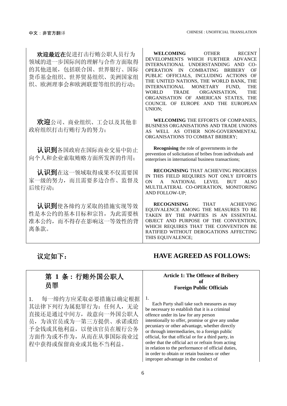## 欢迎最近在促进打击行贿公职人员行为 领域的进一步国际间的理解与合作方面取得 的其他进展,包括联合国、世界银行、国际 货币基金组织、世界贸易组织、美洲国家组 织、欧洲理事会和欧洲联盟等组织的行动;

欢迎公司、商业组织、工会以及其他非 政府组织打击行贿行为的努力;

认识到各国政府在国际商业交易中防止 向个人和企业索取贿赂方面所发挥的作用;

认识到在这一领域取得成果不仅需要国 家一级的努力,而且需要多边合作、监督及 后续行动;

认识到使各缔约方采取的措施实现等效 性是本公约的基本目标和宗旨,为此需要核 准本公约,而不得存在影响这一等效性的背 离条款。

**WELCOMING** OTHER RECENT DEVELOPMENTS WHICH FURTHER ADVANCE INTERNATIONAL UNDERSTANDING AND CO-OPERATION IN COMBATING BRIBERY OF PUBLIC OFFICIALS, INCLUDING ACTIONS OF THE UNITED NATIONS, THE WORLD BANK, THE INTERNATIONAL MONETARY FUND. THE INTERNATIONAL MONETARY FUND, THE WORLD TRADE ORGANISATION, THE ORGANISATION OF AMERICAN STATES, THE COUNCIL OF EUROPE AND THE EUROPEAN UNION;

**WELCOMING** THE EFFORTS OF COMPANIES, BUSINESS ORGANISATIONS AND TRADE UNIONS AS WELL AS OTHER NON-GOVERNMENTAL ORGANISATIONS TO COMBAT BRIBERY;

**Recognising** the role of governments in the prevention of solicitation of bribes from individuals and enterprises in international business transactions;

**RECOGNISING** THAT ACHIEVING PROGRESS IN THIS FIELD REQUIRES NOT ONLY EFFORTS<br>ON A NATIONAL LEVEL BUT ALSO A NATIONAL LEVEL MULTILATERAL CO-OPERATION, MONITORING AND FOLLOW-UP;

**RECOGNISING** THAT ACHIEVING EQUIVALENCE AMONG THE MEASURES TO BE TAKEN BY THE PARTIES IS AN ESSENTIAL OBJECT AND PURPOSE OF THE CONVENTION, WHICH REQUIRES THAT THE CONVENTION BE RATIFIED WITHOUT DEROGATIONS AFFECTING THIS EQUIVALENCE;

## 第 **1** 条 **:** 行贿外国公职人 员罪

1. 每一缔约方应采取必要措施以确定根据 其法律下列行为属犯罪行为: 任何人,无论 直接还是通过中间方,故意向一外国公职人 员,为该官员或为一第三方提供、承诺或给 予金钱或其他利益,以使该官员在履行公务 方面作为或不作为,从而在从事国际商业过 程中获得或保留商业或其他不当利益。

### 议定如下: **HAVE AGREED AS FOLLOWS:**

#### **Article 1: The Offence of Bribery of Foreign Public Officials**

1.

Each Party shall take such measures as may be necessary to establish that it is a criminal offence under its law for any person intentionally to offer, promise or give any undue pecuniary or other advantage, whether directly or through intermediaries, to a foreign public official, for that official or for a third party, in order that the official act or refrain from acting in relation to the performance of official duties, in order to obtain or retain business or other improper advantage in the conduct of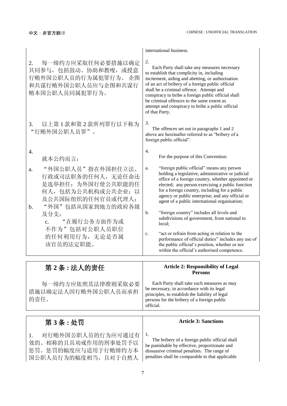|                                                                                                                                                    | international business.                                                                                                                                                                                                                                                                                                                                                                                                            |
|----------------------------------------------------------------------------------------------------------------------------------------------------|------------------------------------------------------------------------------------------------------------------------------------------------------------------------------------------------------------------------------------------------------------------------------------------------------------------------------------------------------------------------------------------------------------------------------------|
| 每一缔约方应采取任何必要措施以确定<br>2.<br>共同参与, 包括鼓动、协助和教唆, 或授意<br>行贿外国公职人员的行为属犯罪行为。 企图<br>和共谋行贿外国公职人员应与企图和共谋行<br>贿本国公职人员同属犯罪行为。                                  | 2.<br>Each Party shall take any measures necessary<br>to establish that complicity in, including<br>incitement, aiding and abetting, or authorisation<br>of an act of bribery of a foreign public official<br>shall be a criminal offence. Attempt and<br>conspiracy to bribe a foreign public official shall<br>be criminal offences to the same extent as<br>attempt and conspiracy to bribe a public official<br>of that Party. |
| 以上第1款和第2款所列罪行以下称为<br>3.<br>"行贿外国公职人员罪"。                                                                                                            | 3.<br>The offences set out in paragraphs 1 and 2<br>above are hereinafter referred to as "bribery of a<br>foreign public official".                                                                                                                                                                                                                                                                                                |
| 4.<br>就本公约而言:                                                                                                                                      | 4.<br>For the purpose of this Convention:                                                                                                                                                                                                                                                                                                                                                                                          |
| "外国公职人员"指在外国担任立法、<br>a.<br>行政或司法职务的任何人,无论任命还<br>是选举担任;为外国行使公共职能的任<br>何人,包括为公共机构或公共企业;以<br>及公共国际组织的任何官员或代理人;<br>"外国"包括从国家到地方的政府各级<br>$\mathbf{b}$ . | "foreign public official" means any person<br>a.<br>holding a legislative, administrative or judicial<br>office of a foreign country, whether appointed or<br>elected; any person exercising a public function<br>for a foreign country, including for a public<br>agency or public enterprise; and any official or<br>agent of a public international organisation;                                                               |
| 及分支;<br>"在履行公务方面作为或<br>c.                                                                                                                          | "foreign country" includes all levels and<br>b.<br>subdivisions of government, from national to<br>local;                                                                                                                                                                                                                                                                                                                          |
| 不作为"包括对公职人员职位<br>的任何利用行为,无论是否属<br>该官员的法定职能。                                                                                                        | "act or refrain from acting in relation to the<br>$\mathbf{c}$ .<br>performance of official duties" includes any use of<br>the public official's position, whether or not<br>within the official's authorised competence.                                                                                                                                                                                                          |
| 第2条:法人的责任                                                                                                                                          | <b>Article 2: Responsibility of Legal</b><br><b>Persons</b>                                                                                                                                                                                                                                                                                                                                                                        |

每一缔约方应依照其法律准则采取必要 措施以确定法人因行贿外国公职人员而承担 的责任。 Each Party shall take such measures as may be necessary, in accordance with its legal principles, to establish the liability of legal persons for the bribery of a foreign public official.

#### 第 3 条 : 处罚 **butter assets** and the set of the set of the set of the set of the set of the set of the set of the set of the set of the set of the set of the set of the set of the set of the set of the set of the set of the 1. 对行贿外国公职人员的行为应可通过有 效的、相称的且具劝戒作用的刑事处罚予以 惩罚。惩罚的幅度应与适用于行贿缔约方本 国公职人员行为的幅度相当,且对于自然人 1. The bribery of a foreign public official shall be punishable by effective, proportionate and dissuasive criminal penalties. The range of penalties shall be comparable to that applicable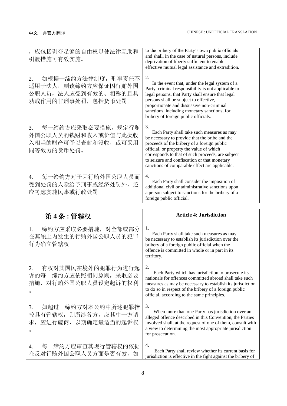| ,应包括剥夺足够的自由权以使法律互助和<br>引渡措施可有效实施。                                                              | to the bribery of the Party's own public officials<br>and shall, in the case of natural persons, include<br>deprivation of liberty sufficient to enable<br>effective mutual legal assistance and extradition.                                                                                                                                        |
|------------------------------------------------------------------------------------------------|------------------------------------------------------------------------------------------------------------------------------------------------------------------------------------------------------------------------------------------------------------------------------------------------------------------------------------------------------|
| 如根据一缔约方法律制度, 刑事责任不<br>2.<br>适用于法人, 则该缔约方应保证因行贿外国<br>公职人员, 法人应受到有效的、相称的且具<br>劝戒作用的非刑事处罚,包括货币处罚。 | 2.<br>In the event that, under the legal system of a<br>Party, criminal responsibility is not applicable to<br>legal persons, that Party shall ensure that legal<br>persons shall be subject to effective,<br>proportionate and dissuasive non-criminal<br>sanctions, including monetary sanctions, for<br>bribery of foreign public officials.      |
| 每一缔约方应采取必要措施, 规定行贿<br>3.<br>外国公职人员的钱财和收入或价值与此类收<br>入相当的财产可予以查封和没收, 或可采用<br>同等效力的货币处罚。          | 3.<br>Each Party shall take such measures as may<br>be necessary to provide that the bribe and the<br>proceeds of the bribery of a foreign public<br>official, or property the value of which<br>corresponds to that of such proceeds, are subject<br>to seizure and confiscation or that monetary<br>sanctions of comparable effect are applicable. |
| 每一缔约方对于因行贿外国公职人员而<br>4.<br>受到处罚的人除给予刑事或经济处罚外, 还<br>应考虑实施民事或行政处罚。                               | 4.<br>Each Party shall consider the imposition of<br>additional civil or administrative sanctions upon<br>a person subject to sanctions for the bribery of a<br>foreign public official.                                                                                                                                                             |
|                                                                                                |                                                                                                                                                                                                                                                                                                                                                      |
| 第4条:管辖权                                                                                        | <b>Article 4: Jurisdiction</b>                                                                                                                                                                                                                                                                                                                       |
| 缔约方应采取必要措施, 对全部或部分<br>1.<br>在其领土内发生的行贿外国公职人员的犯罪<br>行为确立管辖权。                                    | 1.<br>Each Party shall take such measures as may<br>be necessary to establish its jurisdiction over the<br>bribery of a foreign public official when the<br>offence is committed in whole or in part in its<br>territory.                                                                                                                            |
| 有权对其国民在境外的犯罪行为进行起<br>2.<br>诉的每一缔约方应依照相同原则, 采取必要<br>措施, 对行贿外国公职人员设定起诉的权利<br>$\circ$             | 2.<br>Each Party which has jurisdiction to prosecute its<br>nationals for offences committed abroad shall take such<br>measures as may be necessary to establish its jurisdiction<br>to do so in respect of the bribery of a foreign public<br>official, according to the same principles.                                                           |
| 如超过一缔约方对本公约中所述犯罪指<br>3.<br>控具有管辖权, 则所涉各方, 应其中一方请<br>求, 应进行磋商, 以期确定最适当的起诉权<br>$\circ$           | 3.<br>When more than one Party has jurisdiction over an<br>alleged offence described in this Convention, the Parties<br>involved shall, at the request of one of them, consult with<br>a view to determining the most appropriate jurisdiction<br>for prosecution.                                                                                   |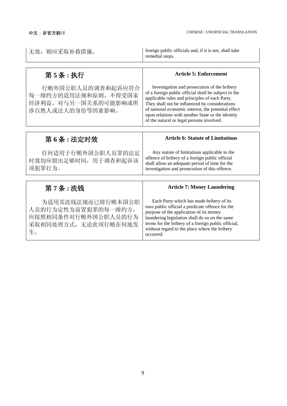| 无效, 则应采取补救措施。                                                                                 | foreign public officials and, if it is not, shall take<br>remedial steps.                                                                                                                                                                                                                                                                                         |  |
|-----------------------------------------------------------------------------------------------|-------------------------------------------------------------------------------------------------------------------------------------------------------------------------------------------------------------------------------------------------------------------------------------------------------------------------------------------------------------------|--|
|                                                                                               |                                                                                                                                                                                                                                                                                                                                                                   |  |
| 第5条:执行                                                                                        | <b>Article 5: Enforcement</b>                                                                                                                                                                                                                                                                                                                                     |  |
| 行贿外国公职人员的调查和起诉应符合<br>每一缔约方的适用法规和原则。不得受国家<br>经济利益、对与另一国关系的可能影响或所<br>涉自然人或法人的身份等因素影响。           | Investigation and prosecution of the bribery<br>of a foreign public official shall be subject to the<br>applicable rules and principles of each Party.<br>They shall not be influenced by considerations<br>of national economic interest, the potential effect<br>upon relations with another State or the identity<br>of the natural or legal persons involved. |  |
|                                                                                               |                                                                                                                                                                                                                                                                                                                                                                   |  |
| 第6条:法定时效                                                                                      | <b>Article 6: Statute of Limitations</b>                                                                                                                                                                                                                                                                                                                          |  |
| 任何适用于行贿外国公职人员罪的法定<br>时效均应留出足够时间,用于调查和起诉该<br>项犯罪行为。                                            | Any statute of limitations applicable to the<br>offence of bribery of a foreign public official<br>shall allow an adequate period of time for the<br>investigation and prosecution of this offence.                                                                                                                                                               |  |
|                                                                                               |                                                                                                                                                                                                                                                                                                                                                                   |  |
| 第7条:洗钱                                                                                        | <b>Article 7: Money Laundering</b>                                                                                                                                                                                                                                                                                                                                |  |
| 为适用其洗钱法规而已将行贿本国公职<br>人员的行为定性为前置犯罪的每一缔约方,<br>应按照相同条件对行贿外国公职人员的行为<br>采取相同处理方式, 无论此项行贿在何地发<br>生。 | Each Party which has made bribery of its<br>own public official a predicate offence for the<br>purpose of the application of its money<br>laundering legislation shall do so on the same<br>terms for the bribery of a foreign public official,<br>without regard to the place where the bribery<br>occurred.                                                     |  |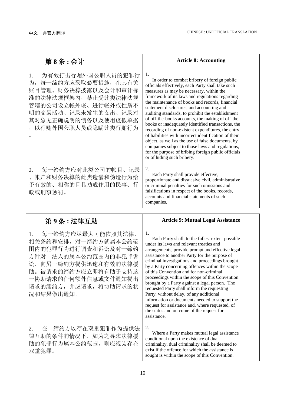。

| 第8条:会计                                                                                                                                                                                                | <b>Article 8: Accounting</b>                                                                                                                                                                                                                                                                                                                                                                                                                                                                                                                                                                                                                                                                                                                                                       |  |
|-------------------------------------------------------------------------------------------------------------------------------------------------------------------------------------------------------|------------------------------------------------------------------------------------------------------------------------------------------------------------------------------------------------------------------------------------------------------------------------------------------------------------------------------------------------------------------------------------------------------------------------------------------------------------------------------------------------------------------------------------------------------------------------------------------------------------------------------------------------------------------------------------------------------------------------------------------------------------------------------------|--|
| 为有效打击行贿外国公职人员的犯罪行<br>1.<br>为, 每一缔约方应采取必要措施, 在其有关<br>账目管理、财务决算披露以及会计和审计标<br>准的法律法规框架内,禁止受此类法律法规<br>管辖的公司设立帐外帐、进行帐外或性质不<br>明的交易活动、记录未发生的支出、记录对<br>其对象无正确说明的债务以及使用虚假单据<br>,以行贿外国公职人员或隐瞒此类行贿行为<br>$\circ$ | 1.<br>In order to combat bribery of foreign public<br>officials effectively, each Party shall take such<br>measures as may be necessary, within the<br>framework of its laws and regulations regarding<br>the maintenance of books and records, financial<br>statement disclosures, and accounting and<br>auditing standards, to prohibit the establishment<br>of off-the-books accounts, the making of off-the-<br>books or inadequately identified transactions, the<br>recording of non-existent expenditures, the entry<br>of liabilities with incorrect identification of their<br>object, as well as the use of false documents, by<br>companies subject to those laws and regulations,<br>for the purpose of bribing foreign public officials<br>or of hiding such bribery. |  |
| 每一缔约方应对此类公司的帐目、记录<br>2.<br>、帐户和财务决算的此类遗漏和伪造行为给<br>予有效的、相称的且具劝戒作用的民事、行<br>政或刑事惩罚。                                                                                                                      | 2.<br>Each Party shall provide effective,<br>proportionate and dissuasive civil, administrative<br>or criminal penalties for such omissions and<br>falsifications in respect of the books, records,<br>accounts and financial statements of such<br>companies.                                                                                                                                                                                                                                                                                                                                                                                                                                                                                                                     |  |

1. 每一缔约方应尽最大可能依照其法律、 相关条约和安排,对一缔约方就属本公约范 围内的犯罪行为进行调查和诉讼及对一缔约 方针对一法人的属本公约范围内的非犯罪诉 讼,向另一缔约方提供迅速和有效的法律援 助。被请求的缔约方应立即将有助于支持这 一协助请求的任何额外信息或文件通知提出 请求的缔约方,并应请求,将协助请求的状 况和结果做出通知。

2. 在一缔约方以存在双重犯罪作为提供法 律互助的条件的情况下,如为之寻求法律援 助的犯罪行为属本公约范围,则应视为存在 双重犯罪。

### 第 **9** 条 **:** 法律互助 **Article 9: Mutual Legal Assistance**

1.

Each Party shall, to the fullest extent possible under its laws and relevant treaties and arrangements, provide prompt and effective legal assistance to another Party for the purpose of criminal investigations and proceedings brought by a Party concerning offences within the scope of this Convention and for non-criminal proceedings within the scope of this Convention brought by a Party against a legal person. The requested Party shall inform the requesting Party, without delay, of any additional information or documents needed to support the request for assistance and, where requested, of the status and outcome of the request for assistance.

2.

Where a Party makes mutual legal assistance conditional upon the existence of dual criminality, dual criminality shall be deemed to exist if the offence for which the assistance is sought is within the scope of this Convention.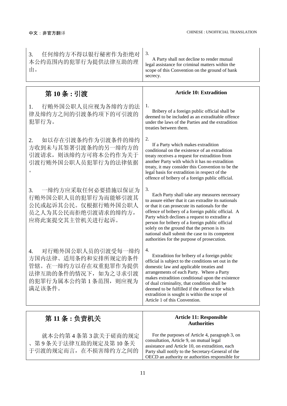| 任何缔约方不得以银行秘密作为拒绝对<br>3.<br>本公约范围内的犯罪行为提供法律互助的理<br>由。                                                                            | 3.<br>A Party shall not decline to render mutual<br>legal assistance for criminal matters within the<br>scope of this Convention on the ground of bank<br>secrecy.                                                                                                                                                                                                                                                                                                      |  |
|---------------------------------------------------------------------------------------------------------------------------------|-------------------------------------------------------------------------------------------------------------------------------------------------------------------------------------------------------------------------------------------------------------------------------------------------------------------------------------------------------------------------------------------------------------------------------------------------------------------------|--|
| 第10条:引渡                                                                                                                         | <b>Article 10: Extradition</b>                                                                                                                                                                                                                                                                                                                                                                                                                                          |  |
| 行贿外国公职人员应视为各缔约方的法<br>1.<br>律及缔约方之间的引渡条约项下的可引渡的<br>犯罪行为。                                                                         | 1.<br>Bribery of a foreign public official shall be<br>deemed to be included as an extraditable offence<br>under the laws of the Parties and the extradition<br>treaties between them.                                                                                                                                                                                                                                                                                  |  |
| 如以存在引渡条约作为引渡条件的缔约<br>2.<br>方收到未与其签署引渡条约的另一缔约方的<br>引渡请求, 则该缔约方可将本公约作为关于<br>引渡行贿外国公职人员犯罪行为的法律依据                                   | 2.<br>If a Party which makes extradition<br>conditional on the existence of an extradition<br>treaty receives a request for extradition from<br>another Party with which it has no extradition<br>treaty, it may consider this Convention to be the<br>legal basis for extradition in respect of the<br>offence of bribery of a foreign public official.                                                                                                                |  |
| 一缔约方应采取任何必要措施以保证为<br>3.<br>行贿外国公职人员的犯罪行为而能够引渡其<br>公民或起诉其公民。仅根据行贿外国公职人<br>员之人为其公民而拒绝引渡请求的缔约方,<br>应将此案提交其主管机关进行起诉。                | 3.<br>Each Party shall take any measures necessary<br>to assure either that it can extradite its nationals<br>or that it can prosecute its nationals for the<br>offence of bribery of a foreign public official. A<br>Party which declines a request to extradite a<br>person for bribery of a foreign public official<br>solely on the ground that the person is its<br>national shall submit the case to its competent<br>authorities for the purpose of prosecution. |  |
| 对行贿外国公职人员的引渡受每一缔约<br>4.<br>方国内法律、适用条约和安排所规定的条件<br>管辖。在一缔约方以存在双重犯罪作为提供<br>法律互助的条件的情况下, 如为之寻求引渡<br>的犯罪行为属本公约第1条范围, 则应视为<br>满足该条件。 | 4.<br>Extradition for bribery of a foreign public<br>official is subject to the conditions set out in the<br>domestic law and applicable treaties and<br>arrangements of each Party. Where a Party<br>makes extradition conditional upon the existence<br>of dual criminality, that condition shall be<br>deemed to be fulfilled if the offence for which<br>extradition is sought is within the scope of<br>Article 1 of this Convention.                              |  |
| 第 11 条 : 负责机关                                                                                                                   | <b>Article 11: Responsible</b>                                                                                                                                                                                                                                                                                                                                                                                                                                          |  |
| 就本公约第4条第3款关于磋商的规定<br>、第9条关于法律互助的规定及第10条关<br>于引渡的规定而言, 在不损害缔约方之间的                                                                | <b>Authorities</b><br>For the purposes of Article 4, paragraph 3, on<br>consultation, Article 9, on mutual legal<br>assistance and Article 10, on extradition, each<br>Party shall notify to the Secretary-General of the<br>OECD an authority or authorities responsible for                                                                                                                                                                                           |  |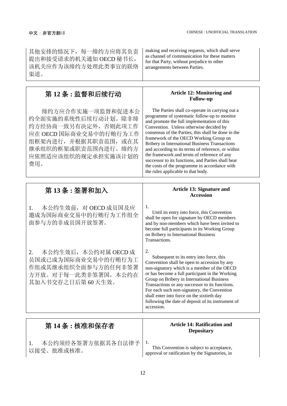| 其他安排的情况下, 每一缔约方应将其负责<br>提出和接受请求的机关通知 OECD 秘书长,<br>该机关应作为该缔约方处理此类事宜的联络<br>渠道。                                                                                             | making and receiving requests, which shall serve<br>as channel of communication for these matters<br>for that Party, without prejudice to other<br>arrangements between Parties.                                                                                                                                                                                                                                                                                                                                                                                                                                         |  |
|--------------------------------------------------------------------------------------------------------------------------------------------------------------------------|--------------------------------------------------------------------------------------------------------------------------------------------------------------------------------------------------------------------------------------------------------------------------------------------------------------------------------------------------------------------------------------------------------------------------------------------------------------------------------------------------------------------------------------------------------------------------------------------------------------------------|--|
| 第12条:监督和后续行动                                                                                                                                                             | <b>Article 12: Monitoring and</b>                                                                                                                                                                                                                                                                                                                                                                                                                                                                                                                                                                                        |  |
| 缔约方应合作实施一项监督和促进本公<br>约全面实施的系统性后续行动计划。除非缔<br>约方经协商一致另有决定外, 否则此项工作<br>应在 OECD 国际商业交易中的行贿行为工作<br>组框架内进行, 并根据其职责范围, 或在其<br>继承组织的框架或职责范围内进行。缔约方<br>应依照适应该组织的规定承担实施该计划的<br>费用。 | <b>Follow-up</b><br>The Parties shall co-operate in carrying out a<br>programme of systematic follow-up to monitor<br>and promote the full implementation of this<br>Convention. Unless otherwise decided by<br>consensus of the Parties, this shall be done in the<br>framework of the OECD Working Group on<br><b>Bribery in International Business Transactions</b><br>and according to its terms of reference, or within<br>the framework and terms of reference of any<br>successor to its functions, and Parties shall bear<br>the costs of the programme in accordance with<br>the rules applicable to that body. |  |
| 第13条:签署和加入                                                                                                                                                               | <b>Article 13: Signature and</b><br><b>Accession</b>                                                                                                                                                                                                                                                                                                                                                                                                                                                                                                                                                                     |  |
| 本公约生效前, 对 OECD 成员国及应<br>1.<br>邀成为国际商业交易中的行贿行为工作组全<br>面参与方的非成员国开放签署。                                                                                                      | 1.<br>Until its entry into force, this Convention<br>shall be open for signature by OECD members<br>and by non-members which have been invited to<br>become full participants in its Working Group<br>on Bribery in International Business<br>Transactions.                                                                                                                                                                                                                                                                                                                                                              |  |
| 本公约生效后, 本公约对属 OECD 成<br>2.<br>员国或已成为国际商业交易中的行贿行为工<br>作组或其继承组织全面参与方的任何非签署<br>方开放。对于每一此类非签署国, 本公约在<br>其加入书交存之日后第60天生效。                                                     | 2.<br>Subsequent to its entry into force, this<br>Convention shall be open to accession by any<br>non-signatory which is a member of the OECD<br>or has become a full participant in the Working<br>Group on Bribery in International Business<br>Transactions or any successor to its functions.<br>For each such non-signatory, the Convention<br>shall enter into force on the sixtieth day<br>following the date of deposit of its instrument of<br>accession.                                                                                                                                                       |  |
| 第 14 条 : 核准和保存者                                                                                                                                                          | <b>Article 14: Ratification and</b><br><b>Depositary</b>                                                                                                                                                                                                                                                                                                                                                                                                                                                                                                                                                                 |  |
| 本公约须经各签署方依据其各自法律予<br>1.                                                                                                                                                  | 1.                                                                                                                                                                                                                                                                                                                                                                                                                                                                                                                                                                                                                       |  |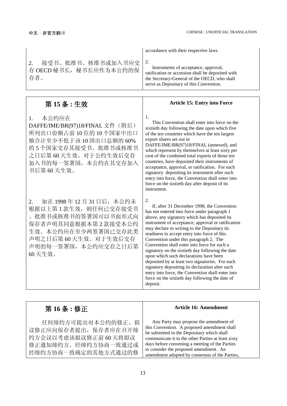|                                                                                                                                                                                  | accordance with their respective laws.                                                                                                                                                                                                                                                                                                                                                                                                                                                                                                                                                                                                                                                                                   |
|----------------------------------------------------------------------------------------------------------------------------------------------------------------------------------|--------------------------------------------------------------------------------------------------------------------------------------------------------------------------------------------------------------------------------------------------------------------------------------------------------------------------------------------------------------------------------------------------------------------------------------------------------------------------------------------------------------------------------------------------------------------------------------------------------------------------------------------------------------------------------------------------------------------------|
| 接受书、批准书、核准书或加入书应交<br>2.<br>存 OECD 秘书长, 秘书长应作为本公约的保<br>存者。                                                                                                                        | 2.<br>Instruments of acceptance, approval,<br>ratification or accession shall be deposited with<br>the Secretary-General of the OECD, who shall<br>serve as Depositary of this Convention.                                                                                                                                                                                                                                                                                                                                                                                                                                                                                                                               |
|                                                                                                                                                                                  |                                                                                                                                                                                                                                                                                                                                                                                                                                                                                                                                                                                                                                                                                                                          |
| 第15条:生效                                                                                                                                                                          | <b>Article 15: Entry into Force</b>                                                                                                                                                                                                                                                                                                                                                                                                                                                                                                                                                                                                                                                                                      |
| 本公约应在<br>1.<br>DAFFE/IME/BR(97)18/FINAL 文件(附后)<br>所列出口份额占前10位的10个国家中出口<br>额合计至少不低于该10国出口总额的60%<br>的5个国家交存其接受书、批准书或核准书<br>之日后第60天生效。对于公约生效后交存<br>加入书的每一签署国,本公约在其交存加入<br>书后第60天生效。 | 1.<br>This Convention shall enter into force on the<br>sixtieth day following the date upon which five<br>of the ten countries which have the ten largest<br>export shares set out in<br>DAFFE/IME/BR(97)18/FINAL (annexed), and<br>which represent by themselves at least sixty per<br>cent of the combined total exports of those ten<br>countries, have deposited their instruments of<br>acceptance, approval, or ratification. For each<br>signatory depositing its instrument after such<br>entry into force, the Convention shall enter into<br>force on the sixtieth day after deposit of its<br>instrument.                                                                                                     |
| 如在 1998年12月31日后,本公约未<br>2.<br>根据以上第1款生效, 则任何已交存接受书<br>批准书或核准书的签署国可以书面形式向<br>保存者声明其同意根据本第2款接受本公约<br>生效。本公约应在至少两签署国已交存此类<br>声明之日后第60天生效。对于生效后交存<br>声明的每一签署国,本公约应交存之日后第<br>60天生效。   | 2.<br>If, after 31 December 1998, the Convention<br>has not entered into force under paragraph 1<br>above, any signatory which has deposited its<br>instrument of acceptance, approval or ratification<br>may declare in writing to the Depositary its<br>readiness to accept entry into force of this<br>Convention under this paragraph 2. The<br>Convention shall enter into force for such a<br>signatory on the sixtieth day following the date<br>upon which such declarations have been<br>deposited by at least two signatories. For each<br>signatory depositing its declaration after such<br>entry into force, the Convention shall enter into<br>force on the sixtieth day following the date of<br>deposit. |

| 第16条:修正                                                                                                        | <b>Article 16: Amendment</b>                                                                                                                                                                                                                                                                                                            |
|----------------------------------------------------------------------------------------------------------------|-----------------------------------------------------------------------------------------------------------------------------------------------------------------------------------------------------------------------------------------------------------------------------------------------------------------------------------------|
| 任何缔约方可提出对本公约的修正。拟<br>议修正应向保存者提出, 保存者应在召开缔<br>约方会议以考虑该拟议修正前60天将拟议<br>修正通知缔约方。经缔约方协商一致通过或<br>经缔约方协商一致确定的其他方式通过的修 | Any Party may propose the amendment of<br>this Convention. A proposed amendment shall<br>be submitted to the Depositary which shall<br>communicate it to the other Parties at least sixty<br>days before convening a meeting of the Parties<br>to consider the proposed amendment. An<br>amendment adopted by consensus of the Parties, |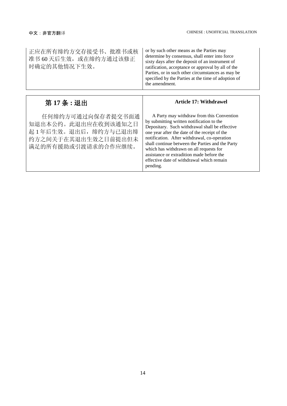| 正应在所有缔约方交存接受书、批准书或核<br>准书 60天后生效, 或在缔约方通过该修正<br>时确定的其他情况下生效。                                                   | or by such other means as the Parties may<br>determine by consensus, shall enter into force<br>sixty days after the deposit of an instrument of<br>ratification, acceptance or approval by all of the<br>Parties, or in such other circumstances as may be<br>specified by the Parties at the time of adoption of<br>the amendment.                                                                                                            |  |
|----------------------------------------------------------------------------------------------------------------|------------------------------------------------------------------------------------------------------------------------------------------------------------------------------------------------------------------------------------------------------------------------------------------------------------------------------------------------------------------------------------------------------------------------------------------------|--|
| 第17条:退出                                                                                                        | <b>Article 17: Withdrawel</b>                                                                                                                                                                                                                                                                                                                                                                                                                  |  |
| 任何缔约方可通过向保存者提交书面通<br>知退出本公约。此退出应在收到该通知之日<br>起1年后生效。退出后, 缔约方与已退出缔<br>约方之间关于在其退出生效之日前提出但未<br>满足的所有援助或引渡请求的合作应继续。 | A Party may withdraw from this Convention<br>by submitting written notification to the<br>Depositary. Such withdrawal shall be effective<br>one year after the date of the receipt of the<br>notification. After withdrawal, co-operation<br>shall continue between the Parties and the Party<br>which has withdrawn on all requests for<br>assistance or extradition made before the<br>effective date of withdrawal which remain<br>pending. |  |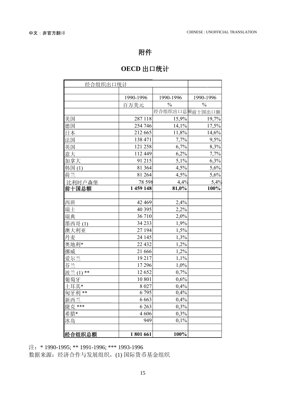## 附件

## **OECD** 出口统计

| 经合组织出口统计       |           |                |               |
|----------------|-----------|----------------|---------------|
|                |           |                |               |
|                | 1990-1996 | 1990-1996      | 1990-1996     |
|                | 百万美元      | $\frac{0}{0}$  | $\frac{0}{0}$ |
|                |           | 经合组织出口总额前十国出口额 |               |
| 美国             | 287 118   | 15,9%          | 19,7%         |
| 德国             | 254 746   | 14,1%          | 17,5%         |
| 日本             | 212 665   | 11,8%          | 14,6%         |
| 法国             | 138 471   | 7,7%           | 9,5%          |
| 英国             | 121 258   | 6,7%           | 8,3%          |
| 意大             | 112 449   | 6,2%           | 7,7%          |
| 加拿大            | 91 215    | 5,1%           | 6,3%          |
| 韩国(1)          | 81 364    | 4,5%           | 5,6%          |
| 荷兰             | 81 264    | 4,5%           | 5,6%          |
| 比利时卢森堡         | 78 598    | 4,4%           | 5,4%          |
| 前十国总额          | 1 459 148 | 81,0%          | 100%          |
|                |           |                |               |
| 西班             | 42 469    | 2,4%           |               |
| 瑞士             | 40 395    | 2,2%           |               |
| 瑞典             | 36 710    | 2,0%           |               |
| 墨西哥(1)         | 34 233    | 1,9%           |               |
| 澳大利亚           | 27 194    | 1,5%           |               |
| 丹麦             | 24 145    | 1,3%           |               |
| 奥地利*           | 22 4 32   | 1,2%           |               |
| 挪威             | 21 666    | 1,2%           |               |
| 爱尔兰            | 19 217    | 1,1%           |               |
| 芬兰             | 17 29 6   | 1,0%           |               |
| 波兰(1)<br>$***$ | 12 652    | 0,7%           |               |
| 葡萄牙            | 10 801    | 0,6%           |               |
| 土耳其*           | 8 0 27    | 0,4%           |               |
| 匈牙利<br>$***$   | 6795      | 0,4%           |               |
| 新西兰            | 6 6 6 3   | 0,4%           |               |
| ***            | 6 2 6 3   | 0,3%           |               |
| 希腊*            | 4 606     | 0,3%           |               |
| 冰岛             | 949       | 0,1%           |               |
|                |           |                |               |
| 经合组织总额         | 1801661   | 100%           |               |

注: \* 1990-1995; \*\* 1991-1996; \*\*\* 1993-1996

数据来源:经济合作与发展组织,(1) 国际货币基金组织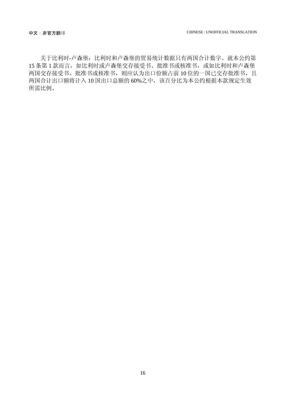关于比利时-卢森堡:比利时和卢森堡的贸易统计数据只有两国合计数字。就本公约第 15 条第 1 款而言, 如比利时或卢森堡交存接受书、批准书或核准书, 或如比利时和卢森堡 两国交存接受书、批准书或核准书,则应认为出口份额占前10位的一国已交存批准书,且 两国合计出口额将计入 10 国出口总额的 60%之中,该百分比为本公约根据本款规定生效 所需比例。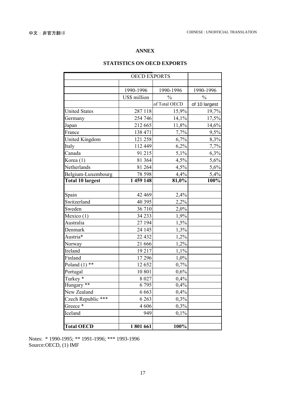### **ANNEX**

### **STATISTICS ON OECD EXPORTS**

| <b>OECD EXPORTS</b>     |              |               |               |
|-------------------------|--------------|---------------|---------------|
|                         |              |               |               |
|                         | 1990-1996    | 1990-1996     | 1990-1996     |
|                         | US\$ million | $\frac{0}{0}$ | $\frac{0}{0}$ |
|                         |              | of Total OECD | of 10 largest |
| <b>United States</b>    | 287 118      | 15,9%         | 19,7%         |
| Germany                 | 254 746      | 14,1%         | 17,5%         |
| Japan                   | 212 665      | 11,8%         | 14,6%         |
| France                  | 138 471      | 7,7%          | 9,5%          |
| <b>United Kingdom</b>   | 121 258      | 6,7%          | 8,3%          |
| Italy                   | 112 449      | 6,2%          | 7,7%          |
| Canada                  | 91 215       | 5,1%          | 6,3%          |
| Korea (1)               | 81 364       | 4,5%          | 5,6%          |
| Netherlands             | 81 264       | 4,5%          | 5,6%          |
| Belgium-Luxembourg      | 78 598       | 4,4%          | 5,4%          |
| <b>Total 10 largest</b> | 1 459 148    | 81,0%         | 100%          |
|                         |              |               |               |
| Spain                   | 42 469       | 2,4%          |               |
| Switzerland             | 40 395       | 2,2%          |               |
| Sweden                  | 36 710       | 2,0%          |               |
| Mexico (1)              | 34 233       | 1,9%          |               |
| Australia               | 27 194       | 1,5%          |               |
| Denmark                 | 24 145       | 1,3%          |               |
| Austria*                | 22 4 32      | 1,2%          |               |
| Norway                  | 21 666       | 1,2%          |               |
| Ireland                 | 19 217       | 1,1%          |               |
| Finland                 | 17 29 6      | 1,0%          |               |
| Poland $(1)$ **         | 12 652       | 0,7%          |               |
| Portugal                | 10 801       | 0,6%          |               |
| Turkey <sup>*</sup>     | 8 0 27       | 0,4%          |               |
| Hungary **              | 6795         | 0,4%          |               |
| New Zealand             | 6 6 6 3      | 0,4%          |               |
| Czech Republic ***      | 6 2 6 3      | 0,3%          |               |
| Greece*                 | 4 606        | 0,3%          |               |
| Iceland                 | 949          | 0,1%          |               |
|                         |              |               |               |
| <b>Total OECD</b>       | 1801661      | 100%          |               |

Notes: \* 1990-1995; \*\* 1991-1996; \*\*\* 1993-1996 Source: OECD, (1) IMF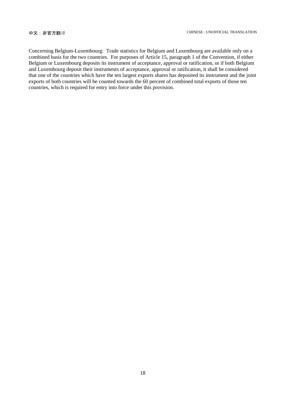Concerning Belgium-Luxembourg: Trade statistics for Belgium and Luxembourg are available only on a combined basis for the two countries. For purposes of Article 15, paragraph 1 of the Convention, if either Belgium or Luxembourg deposits its instrument of acceptance, approval or ratification, or if both Belgium and Luxembourg deposit their instruments of acceptance, approval or ratification, it shall be considered that one of the countries which have the ten largest exports shares has deposited its instrument and the joint exports of both countries will be counted towards the 60 percent of combined total exports of those ten countries, which is required for entry into force under this provision.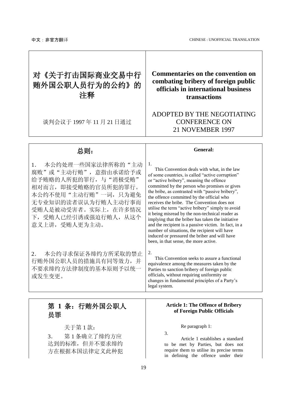## <span id="page-16-0"></span>对《关于打击国际商业交易中行 贿外国公职人员行为的公约》的 注释

谈判会议于 1997 年 11 月 21 日通过

## **Commentaries on the convention on combating bribery of foreign public officials in international business transactions**

## ADOPTED BY THE NEGOTIATING CONFERENCE ON 21 NOVEMBER 1997

### 总则: **General:**

1. 本公约处理一些国家法律所称的"主动 腐败"或"主动行贿",意指由承诺给予或 给予贿赂的人所犯的罪行,与"消极受贿" 相对而言,即接受贿赂的官员所犯的罪行。 本公约不使用"主动行贿"一词,只为避免 无专业知识的读者误认为行贿人主动行事而 受贿人是被动受害者。实际上,在许多情况 下,受贿人已经引诱或强迫行贿人,从这个 意义上讲,受贿人更为主动。

2. 本公约寻求保证各缔约方所采取的禁止 行贿外国公职人员的措施具有同等效力,并 不要求缔约方法律制度的基本原则予以统一 或发生变更。

This Convention deals with what, in the law of some countries, is called "active corruption" or "active bribery", meaning the offence committed by the person who promises or gives the bribe, as contrasted with "passive bribery", the offence committed by the official who receives the bribe. The Convention does not utilise the term "active bribery" simply to avoid it being misread by the non-technical reader as implying that the briber has taken the initiative and the recipient is a passive victim. In fact, in a number of situations, the recipient will have induced or pressured the briber and will have been, in that sense, the more active.

2.

1.

This Convention seeks to assure a functional equivalence among the measures taken by the Parties to sanction bribery of foreign public officials, without requiring uniformity or changes in fundamental principles of a Party's legal system.

## 第 **1** 条:行贿外国公职人 员罪

关于第 1 款:

3. 第 1 条确立了缔约方应 达到的标准,但并不要求缔约 方在根据本国法律定义此种犯

#### **Article 1: The Offence of Bribery of Foreign Public Officials**

Re paragraph 1:

3.

Article 1 establishes a standard to be met by Parties, but does not require them to utilise its precise terms in defining the offence under their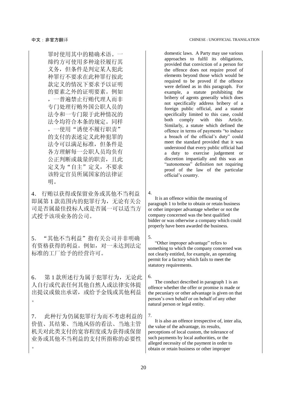罪时使用其中的精确术语。一 缔约方可使用多种途径履行其 义务,但条件是判定某人犯此 种罪行不要求在此种罪行按此 款定义的情况下要求予以证明 的要素之外的证明要素。例如 ,一普遍禁止行贿代理人而非 专门处理行贿外国公职人员的 法令和一专门限于此种情况的 法令均符合本条的规定。同样 ,一使用"诱使不履行职责" 的支付的表述定义此种犯罪的 法令可以满足标准,但条件是 各方理解每一公职人员均负有 公正判断或裁量的职责, 且此 定义为"自主"定义,不要求 该特定官员所属国家的法律证 明。

4. 行贿以获得或保留业务或其他不当利益 即属第 1 款范围内的犯罪行为,无论有关公 司是否属最佳投标人或是否属一可以适当方 式授予该项业务的公司。

5. "其他不当利益"指有关公司并非明确 有资格获得的利益。例如,对一未达到法定 标准的工厂给予的经营许可。

6. 第 1 款所述行为属于犯罪行为,无论此 人自行或代表任何其他自然人或法律实体提 出提议或做出承诺,或给予金钱或其他利益  $\circ$ 

7. 此种行为仍属犯罪行为而不考虑利益的 价值、其结果、当地风俗的看法、当地主管 机关对此类支付的宽容程度或为获得或保留 业务或其他不当利益的支付所指称的必要性  $\circ$ 

domestic laws. A Party may use various approaches to fulfil its obligations, provided that conviction of a person for the offence does not require proof of elements beyond those which would be required to be proved if the offence were defined as in this paragraph. For example, a statute prohibiting the bribery of agents generally which does not specifically address bribery of a foreign public official, and a statute specifically limited to this case, could<br>both comply with this Article.  $both$  comply Similarly, a statute which defined the offence in terms of payments "to induce a breach of the official's duty" could meet the standard provided that it was understood that every public official had a duty to exercise judgement or discretion impartially and this was an "autonomous" definition not requiring proof of the law of the particular official's country.

4.

It is an offence within the meaning of paragraph 1 to bribe to obtain or retain business or other improper advantage whether or not the company concerned was the best qualified bidder or was otherwise a company which could properly have been awarded the business.

5.

"Other improper advantage" refers to something to which the company concerned was not clearly entitled, for example, an operating permit for a factory which fails to meet the statutory requirements.

6.

The conduct described in paragraph 1 is an offence whether the offer or promise is made or the pecuniary or other advantage is given on that person's own behalf or on behalf of any other natural person or legal entity.

7.

It is also an offence irrespective of, inter alia, the value of the advantage, its results, perceptions of local custom, the tolerance of such payments by local authorities, or the alleged necessity of the payment in order to obtain or retain business or other improper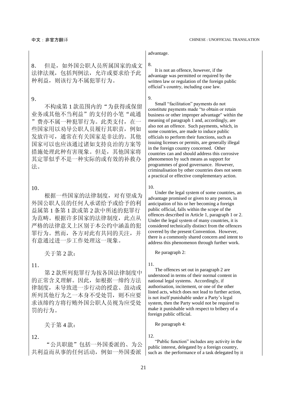8. 但是,如外国公职人员所属国家的成文 法律法规,包括判例法,允许或要求给予此 种利益,则该行为不属犯罪行为。

#### 9.

不构成第 1 款范围内的"为获得或保留 业务或其他不当利益"的支付的小笔"疏通 "费亦不属一种犯罪行为。此类支付,在一 些国家用以劝导公职人员履行其职责,例如 发放许可,通常在有关国家是非法的。其他 国家可以也应该通过诸如支持良治的方案等 措施处理此种有害现象。但是,其他国家将 其定罪似乎不是一种实际的或有效的补救办 法。

### 10.

根据一些国家的法律制度,对有望成为 外国公职人员的任何人承诺给予或给予的利 益属第 1 条第 1 款或第 2 款中所述的犯罪行 为范畴。根据许多国家的法律制度, 此点从 严格的法律意义上区别于本公约中涵盖的犯 罪行为。然而,各方对此有共同的关注,并 有意通过进一步工作处理这一现象。

11.

第 2 款所列犯罪行为按各国法律制度中 的正常含义理解。因此,如根据一缔约方法 律制度,未导致进一步行动的授意、鼓动或 所列其他行为之一本身不受处罚,则不应要 求该缔约方将行贿外国公职人员视为应受处 罚的行为。

12.

"公共职能"包括一外国委派的、为公 共利益而从事的任何活动,例如一外国委派

#### advantage.

#### 8.

It is not an offence, however, if the advantage was permitted or required by the written law or regulation of the foreign public official's country, including case law.

#### 9.

Small "facilitation" payments do not constitute payments made "to obtain or retain business or other improper advantage" within the meaning of paragraph 1 and, accordingly, are also not an offence. Such payments, which, in some countries, are made to induce public officials to perform their functions, such as issuing licenses or permits, are generally illegal in the foreign country concerned. Other countries can and should address this corrosive phenomenon by such means as support for programmes of good governance. However, criminalisation by other countries does not seem a practical or effective complementary action.

10.

Under the legal system of some countries, an advantage promised or given to any person, in anticipation of his or her becoming a foreign public official, falls within the scope of the offences described in Article 1, paragraph 1 or 2. Under the legal system of many countries, it is considered technically distinct from the offences covered by the present Convention. However, there is a commonly shared concern and intent to address this phenomenon through further work.

关于第 2款: Ne paragraph 2:

11.

The offences set out in paragraph 2 are understood in terms of their normal content in national legal systems. Accordingly, if authorisation, incitement, or one of the other listed acts, which does not lead to further action, is not itself punishable under a Party's legal system, then the Party would not be required to make it punishable with respect to bribery of a foreign public official.

关于第 4款: Neparagraph 4:

12.

"Public function" includes any activity in the public interest, delegated by a foreign country, such as the performance of a task delegated by it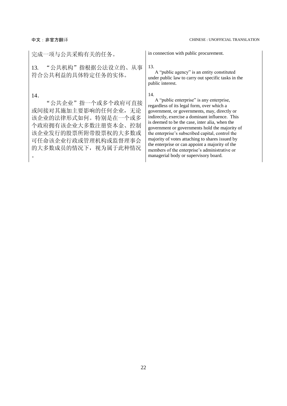| 完成一项与公共采购有关的任务。                                                                                                                                                      | in connection with public procurement.                                                                                                                                                                                                                                                                                                                                                                                                                                                                                                                   |
|----------------------------------------------------------------------------------------------------------------------------------------------------------------------|----------------------------------------------------------------------------------------------------------------------------------------------------------------------------------------------------------------------------------------------------------------------------------------------------------------------------------------------------------------------------------------------------------------------------------------------------------------------------------------------------------------------------------------------------------|
| 13. "公共机构"指根据公法设立的、从事<br>符合公共利益的具体特定任务的实体。                                                                                                                           | 13.<br>A "public agency" is an entity constituted<br>under public law to carry out specific tasks in the<br>public interest.                                                                                                                                                                                                                                                                                                                                                                                                                             |
| 14.<br>"公共企业"指一个或多个政府可直接<br>或间接对其施加主要影响的任何企业, 无论<br>该企业的法律形式如何。特别是在一个或多<br>个政府拥有该企业大多数注册资本金、控制<br>该企业发行的股票所附带股票权的大多数或<br>可任命该企业行政或管理机构或监督理事会<br>的大多数成员的情况下, 视为属于此种情况 | 14.<br>A "public enterprise" is any enterprise,<br>regardless of its legal form, over which a<br>government, or governments, may, directly or<br>indirectly, exercise a dominant influence. This<br>is deemed to be the case, inter alia, when the<br>government or governments hold the majority of<br>the enterprise's subscribed capital, control the<br>majority of votes attaching to shares issued by<br>the enterprise or can appoint a majority of the<br>members of the enterprise's administrative or<br>managerial body or supervisory board. |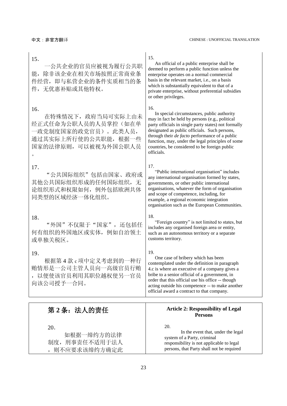| 15.<br>一公共企业的官员应被视为履行公共职<br>除非该企业在相关市场按照正常商业条<br>能,<br>件经营, 即与私营企业的条件实质相当的条<br>件, 无优惠补贴或其他特权。                           | 15.<br>An official of a public enterprise shall be<br>deemed to perform a public function unless the<br>enterprise operates on a normal commercial<br>basis in the relevant market, i.e., on a basis<br>which is substantially equivalent to that of a<br>private enterprise, without preferential subsidies<br>or other privileges.                                                       |
|-------------------------------------------------------------------------------------------------------------------------|--------------------------------------------------------------------------------------------------------------------------------------------------------------------------------------------------------------------------------------------------------------------------------------------------------------------------------------------------------------------------------------------|
| 16.<br>在特殊情况下, 政府当局可实际上由未<br>经正式任命为公职人员的人员掌控(如在单<br>一政党制度国家的政党官员)。此类人员,<br>通过其实际上所行使的公共职能, 根据一些<br>国家的法律原则, 可以被视为外国公职人员 | 16.<br>In special circumstances, public authority<br>may in fact be held by persons (e.g., political<br>party officials in single party states) not formally<br>designated as public officials. Such persons,<br>through their <i>de facto</i> performance of a public<br>function, may, under the legal principles of some<br>countries, be considered to be foreign public<br>officials. |
| 17.<br>"公共国际组织"包括由国家、政府或<br>其他公共国际组织形成的任何国际组织,无<br>论组织形式和权限如何, 例外包括欧洲共体<br>同类型的区域经济一体化组织。                               | 17.<br>"Public international organisation" includes<br>any international organisation formed by states,<br>governments, or other public international<br>organisations, whatever the form of organisation<br>and scope of competence, including, for<br>example, a regional economic integration<br>organisation such as the European Communities.                                         |
| 18.<br>"外国"不仅限于"国家", 还包括任<br>何有组织的外国地区或实体, 例如自治领土<br>或单独关税区。                                                            | 18.<br>"Foreign country" is not limited to states, but<br>includes any organised foreign area or entity,<br>such as an autonomous territory or a separate<br>customs territory.                                                                                                                                                                                                            |
| 19.<br>根据第4款c项中定义考虑到的一种行<br>贿情形是一公司主管人员向一高级官员行贿<br>以便使该官员利用其职位越权使另一官员<br>向该公司授予一合同。                                     | 19.<br>One case of bribery which has been<br>contemplated under the definition in paragraph<br>4.c is where an executive of a company gives a<br>bribe to a senior official of a government, in<br>order that this official use his office -- though<br>acting outside his competence -- to make another<br>official award a contract to that company.                                     |
| 第 2 条:法人的责任                                                                                                             | <b>Article 2: Responsibility of Legal</b><br><b>Persons</b>                                                                                                                                                                                                                                                                                                                                |

20.

如根据一缔约方的法律 制度,刑事责任不适用于法人 ,则不应要求该缔约方确定此

#### 20.

In the event that, under the legal system of a Party, criminal responsibility is not applicable to legal persons, that Party shall not be required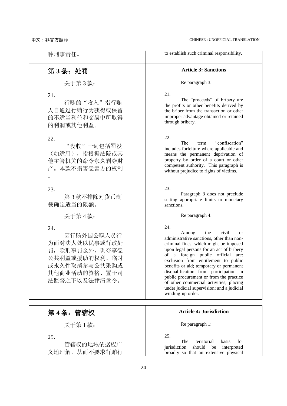种刑事责任。 to establish such criminal responsibility.

### 第 **3** 条:处罚 **Article 3: Sanctions**

#### 关于第 3款: Ne paragraph 3:

21.

The "proceeds" of bribery are the profits or other benefits derived by the briber from the transaction or other improper advantage obtained or retained through bribery.

22.

The term "confiscation" includes forfeiture where applicable and means the permanent deprivation of property by order of a court or other competent authority. This paragraph is without prejudice to rights of victims.

#### 23.

Paragraph 3 does not preclude setting appropriate limits to monetary sanctions.

关于第 4款:<br> **Ke paragraph 4:** 

#### 24.

Among the civil or administrative sanctions, other than noncriminal fines, which might be imposed upon legal persons for an act of bribery of a foreign public official are: exclusion from entitlement to public benefits or aid; temporary or permanent disqualification from participation in public procurement or from the practice of other commercial activities; placing under judicial supervision; and a judicial winding-up order.

关于第 1款: Ne paragraph 1:

25.

The territorial basis for jurisdiction should be interpreted broadly so that an extensive physical

行贿的"收入"指行贿

人自通过行贿行为获得或保留 的不适当利益和交易中所取得 的利润或其他利益。

22.

21.

"没收"一词包括罚没 (如适用),指根据法院或其 他主管机关的命令永久剥夺财 产。本款不损害受害方的权利  $\circ$ 

23.

第 3 款不排除对货币制 裁确定适当的限额。

24.

因行贿外国公职人员行 为而对法人处以民事或行政处 罚,除刑事罚金外,剥夺享受 公共利益或援助的权利、临时 或永久性取消参与公共采购或 其他商业活动的资格、置于司 法监督之下以及法律清盘令。

## 第 **4** 条:管辖权 **Article 4: Jurisdiction**

25.

管辖权的地域依据应广 义地理解,从而不要求行贿行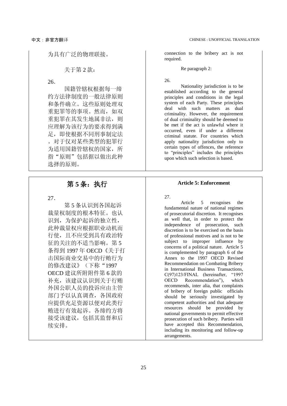### 关于第 2款: Net paragraph 2:

26.

国籍管辖权根据每一缔 约方法律制度的一般法律原则 和条件确立。这些原则处理双 重犯罪等的事项。然而,如双 重犯罪在其发生地属非法,则 应理解为该行为的要求得到满 足,即使根据不同刑事制定法 。对于仅对某些类型的犯罪行 为适用国籍管辖权的国家,所 指"原则"包括据以做出此种 选择的原则。

27.

第 5 条认识到各国起诉 裁量权制度的根本特征。也认 识到,为保护起诉的独立性, 此种裁量权应根据职业动机而 行使,且不应受到具有政治特 征的关注的不适当影响。第 5 条得到 1997 年 OECD《关于打 击国际商业交易中的行贿行为 的修改建议》(下称"1997 OECD 建议所附附件第 6 款的 补充,该建议认识到关于行贿 外国公职人员的投诉应由主管 部门予以认真调查,各国政府 应提供充足资源以便对此类行 贿进行有效起诉。各缔约方将 接受该建议,包括其监督和后 续安排。

为具有广泛的物理联接。 connection to the bribery act is not required.

26.

Nationality jurisdiction is to be established according to the general principles and conditions in the legal system of each Party. These principles deal with such matters as dual criminality. However, the requirement of dual criminality should be deemed to be met if the act is unlawful where it occurred, even if under a different criminal statute. For countries which apply nationality jurisdiction only to certain types of offences, the reference to "principles" includes the principles upon which such selection is based.

### 第 **5** 条:执行 **Article 5: Enforcement**

27.

Article 5 recognises the fundamental nature of national regimes of prosecutorial discretion. It recognises as well that, in order to protect the independence of prosecution, such discretion is to be exercised on the basis of professional motives and is not to be subject to improper influence by concerns of a political nature. Article 5 is complemented by paragraph 6 of the Annex to the 1997 OECD Revised Recommendation on Combating Bribery in International Business Transactions, C(97)123/FINAL (hereinafter, "1997 OECD Recommendation"), which recommends, inter alia, that complaints of bribery of foreign public officials should be seriously investigated by competent authorities and that adequate resources should be provided by national governments to permit effective prosecution of such bribery. Parties will have accepted this Recommendation, including its monitoring and follow-up arrangements.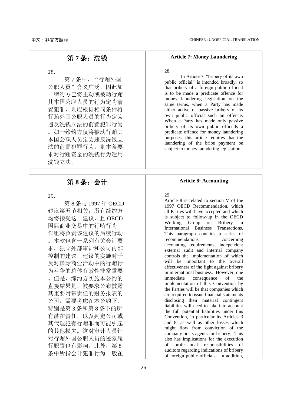28.

第7条中, "行贿外国 公职人员"含义广泛,因此如 一缔约方已将主动或被动行贿 其本国公职人员的行为定为前 置犯罪,则应根据相同条件将 行贿外国公职人员的行为定为 违反洗钱立法的前置犯罪行为 。如一缔约方仅将被动行贿其 本国公职人员定为违反洗钱立 法的前置犯罪行为,则本条要 求对行贿资金的洗钱行为适用 洗钱立法。

29.

第 8 条与 1997 年 OECD 建议第五节相关,所有缔约方 均将接受这一建议,且 OECD 国际商业交易中的行贿行为工 作组将负责该建议的后续行动 。本款包含一系列有关会计要 求、独立外部审计和公司内部 控制的建议,建议的实施对于 反对国际商业活动中的行贿行 为斗争的总体有效性非常重要 。但是,缔约方实施本公约的 直接结果是,被要求公布披露 其重要附带责任的财务报表的 公司,需要考虑在本公约下、 特别是第 3 条和第 8 条下的所 有潜在责任,以及判定公司或 其代理犯有行贿罪而可能引起 的其他损失。这对审计人员针 对行贿外国公职人员的迹象履 行职责也有影响。此外,第 8 条中所指会计犯罪行为一般在

### 第7条: 洗钱 **be a maturity of the Article 7: Money Laundering**

#### 28.

In Article 7, "bribery of its own public official" is intended broadly, so that bribery of a foreign public official is to be made a predicate offence for money laundering legislation on the same terms, when a Party has made either active or passive bribery of its own public official such an offence. When a Party has made only passive bribery of its own public officials a predicate offence for money laundering purposes, this article requires that the laundering of the bribe payment be subject to money laundering legislation.

### 第 **8** 条:会计 **Article 8: Accounting**

29.

Article 8 is related to section V of the 1997 OECD Recommendation, which all Parties will have accepted and which is subject to follow-up in the OECD Working Group on Bribery in International Business Transactions. This paragraph contains a series of recommendations concerning accounting requirements, independent external audit and internal company controls the implementation of which will be important to the overall effectiveness of the fight against bribery in international business. However, one<br>immediate consequence of the consequence of the implementation of this Convention by the Parties will be that companies which are required to issue financial statements disclosing their material contingent liabilities will need to take into account the full potential liabilities under this Convention, in particular its Articles 3 and 8, as well as other losses which might flow from conviction of the company or its agents for bribery. This also has implications for the execution of professional responsibilities of auditors regarding indications of bribery of foreign public officials. In addition,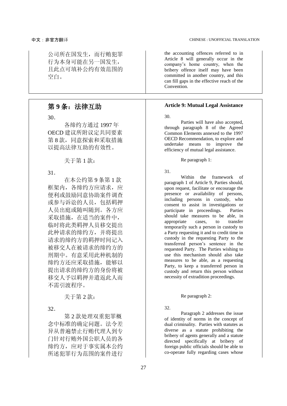公司所在国发生,而行贿犯罪 行为本身可能在另一国发生, 且此点可填补公约有效范围的 空白。

30.

各缔约方通过 1997 年 OECD 建议所附议定共同要素 第 8 款,同意探索和采取措施 以提高法律互助的有效性。

关于第 1款: Ne paragraph 1:

31.

在本公约第 9 条第 1 款 框架内,各缔约方应请求,应 便利或鼓励同意协助案件调查 或参与诉讼的人员,包括羁押 人员出庭或随叫随到。各方应 采取措施, 在适当的案件中, 临时将此类羁押人员移交提出 此种请求的缔约方,并将提出 请求的缔约方的羁押时间记入 被移交人在被请求的缔约方的 刑期中。有意采用此种机制的 缔约方还应采取措施,能够以 提出请求的缔约方的身份将被 移交人予以羁押并遣返此人而 不需引渡程序。

32.

第 2 款处理双重犯罪概 念中标准的确定问题。法令差 异从普遍禁止行贿代理人到专 门针对行贿外国公职人员的各 缔约方,应对于事实属本公约 所述犯罪行为范围的案件进行

the accounting offences referred to in Article 8 will generally occur in the company's home country, when the bribery offence itself may have been committed in another country, and this can fill gaps in the effective reach of the Convention.

### 第 **9** 条:法律互助 **Article 9: Mutual Legal Assistance**

30.

Parties will have also accepted, through paragraph 8 of the Agreed Common Elements annexed to the 1997 OECD Recommendation, to explore and undertake means to improve the efficiency of mutual legal assistance.

31.

Within the framework of paragraph 1 of Article 9, Parties should, upon request, facilitate or encourage the presence or availability of persons, including persons in custody, who consent to assist in investigations or<br>participate in proceedings. Parties participate in proceedings. should take measures to be able, in appropriate cases, to transfer temporarily such a person in custody to a Party requesting it and to credit time in custody in the requesting Party to the transferred person's sentence in the requested Party. The Parties wishing to use this mechanism should also take measures to be able, as a requesting Party, to keep a transferred person in custody and return this person without necessity of extradition proceedings.

#### $\angle$   $\angle$   $\div$   $\div$   $\Rightarrow$   $\angle$   $\angle$   $\div$   $\div$   $\div$   $\div$   $\div$  Re paragraph 2:

32.

Paragraph 2 addresses the issue of identity of norms in the concept of dual criminality. Parties with statutes as diverse as a statute prohibiting the bribery of agents generally and a statute directed specifically at bribery of foreign public officials should be able to co-operate fully regarding cases whose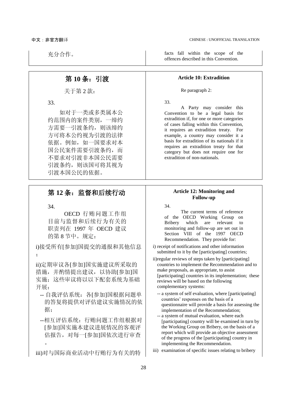## 第 **10** 条:引渡 **Article 10: Extradition**

关于第 2 款: Re paragraph 2:

33.

 如对于一类或多类属本公 约范围内的案件类别,一缔约 方需要一引渡条约,则该缔约 方可将本公约视为引渡的法律 依据。例如,如一国要求对本 国公民案件需要引渡条约,而 不要求对引渡非本国公民需要 引渡条约, 则该国可将其视为 引渡本国公民的依据。

## 第 **12** 条:监督和后续行动 **Article 12: Monitoring and**

34.

OECD 行贿问题工作组 目前与监督和后续行为有关的 职责列在 1997 年 OECD 建议 的第 8 节中。规定:

i)接受所有[参加]国提交的通报和其他信息 ;

ii)定期审议各[参加]国实施建议所采取的 措施,并酌情提出建议,以协助[参加]国 实施;这些审议将以以下配套系统为基础 开展:

- -- 自我评估系统:各[参加]国根据问题单 的答复将提供对评估建议实施情况的依 据;
- --相互评估系统:行贿问题工作组根据对 [参加]国实施本建议进展情况的客观评 估报告,对每一[参加]国依次进行审查  $\circ$
- iii)对与国际商业活动中行贿行为有关的特

充分合作。 facts fall within the scope of the offences described in this Convention.

33.

A Party may consider this Convention to be a legal basis for extradition if, for one or more categories of cases falling within this Convention, it requires an extradition treaty. For example, a country may consider it a basis for extradition of its nationals if it requires an extradition treaty for that category but does not require one for extradition of non-nationals.

## **Follow-up**

34.

The current terms of reference of the OECD Working Group on Bribery which are relevant to monitoring and follow-up are set out in Section VIII of the 1997 OECD Recommendation. They provide for:

- i) receipt of notifications and other information submitted to it by the [participating] countries;
- ii)regular reviews of steps taken by [participating] countries to implement the Recommendation and to make proposals, as appropriate, to assist [participating] countries in its implementation; these reviews will be based on the following complementary systems:
	- -- a system of self evaluation, where [participating] countries' responses on the basis of a questionnaire will provide a basis for assessing the implementation of the Recommendation;
	- -- a system of mutual evaluation, where each [participating] country will be examined in turn by the Working Group on Bribery, on the basis of a report which will provide an objective assessment of the progress of the [participating] country in implementing the Recommendation.
- iii) examination of specific issues relating to bribery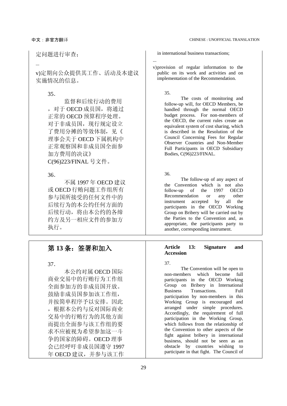定问题进行审查;

...

v)定期向公众提供其工作、活动及本建议 实施情况的信息。

35.

监督和后续行动的费用 ,对于 OECD 成员国,将通过 正常的 OECD 预算程序处理。 对于非成员国,现行规定设立 了费用分摊的等效体制,见《 理事会关于 OECD 下属机构中 正常观察国和非成员国全面参 加方费用的决议》 C(96)223/FINAL 号文件。

36.

不属 1997 年 OECD 建议 或 OECD 行贿问题工作组所有 参与国所接受的任何文件中的 后续行为的本公约任何方面的 后续行动,将由本公约的各缔 约方及另一相应文件的参加方 执行。

37.

本公约对属 OECD 国际 商业交易中的行贿行为工作组 全面参加方的非成员国开放。 鼓励非成员国参加该工作组, 并按简单程序予以安排。因此 ,根据本公约与反对国际商业 交易中的行贿行为的其他方面 而提出全面参与该工作组的要 求不应被视为希望参加这一斗 争的国家的障碍。OECD 理事 会已经呼吁非成员国遵守 1997 年 OECD 建议,并参与该工作 in international business transactions;

v)provision of regular information to the public on its work and activities and on implementation of the Recommendation.

35.

...

The costs of monitoring and follow-up will, for OECD Members, be handled through the normal OECD budget process. For non-members of the OECD, the current rules create an equivalent system of cost sharing, which is described in the Resolution of the Council Concerning Fees for Regular Observer Countries and Non-Member Full Participants in OECD Subsidiary Bodies, C(96)223/FINAL.

36.

The follow-up of any aspect of the Convention which is not also<br>follow-up of the 1997 OECD follow-up of the 1997 OECD Recommendation or any other instrument accepted by all the participants in the OECD Working Group on Bribery will be carried out by the Parties to the Convention and, as appropriate, the participants party to another, corresponding instrument.

#### 第 **13** 条:签署和加入 **Article 13: Signature and Accession**

37.

The Convention will be open to non-members which become full participants in the OECD Working Group on Bribery in International Business Transactions. Full participation by non-members in this Working Group is encouraged and arranged under simple procedures. Accordingly, the requirement of full participation in the Working Group, which follows from the relationship of the Convention to other aspects of the fight against bribery in international business, should not be seen as an obstacle by countries wishing to participate in that fight. The Council of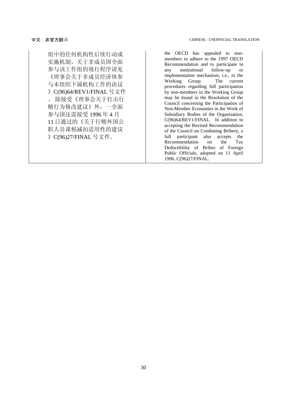组中的任何机构性后续行动或 实施机制。关于非成员国全面 参与该工作组的现行程序请见 《理事会关于非成员经济体参 与本组织下属机构工作的决议 》C(96)64/REV1/FINAL 号文件 。 除接受《理事会关于打击行 贿行为修改建议》外,一全面 参与国还需接受 1996 年 4 月 11 日通过的《关于行贿外国公 职人员课税减扣适用性的建议 》C(96)27/FINAL 号文件。

the OECD has appealed to nonmembers to adhere to the 1997 OECD Recommendation and to participate in any institutional follow-up or implementation mechanism, i.e., in the Working Group. The current procedures regarding full participation by non-members in the Working Group may be found in the Resolution of the Council concerning the Participation of Non-Member Economies in the Work of Subsidiary Bodies of the Organisation, C(96)64/REV1/FINAL. In addition to accepting the Revised Recommendation of the Council on Combating Bribery, a<br>full participant also accepts the full participant also Recommendation on the Tax Deductibility of Bribes of Foreign Public Officials, adopted on 11 April 1996, C(96)27/FINAL.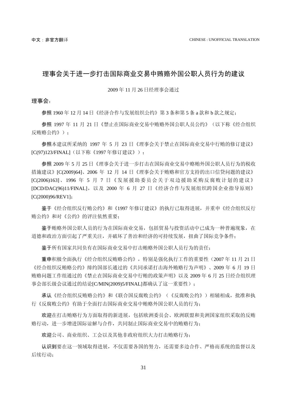### <span id="page-28-0"></span>理事会关于进一步打击国际商业交易中贿赂外国公职人员行为的建议

2009 年 11 月 26 日经理事会通过

#### 理事会:

参照 1960 年 12 月 14 日《经济合作与发展组织公约》第 3 条和第 5 条 a 款和 b 款之规定;

参照 1997 年 11 月 21 日《禁止在国际商业交易中贿赂外国公职人员公约》(以下称《经合组织 反贿赂公约》);

参照本建议所采纳的 1997 年 5 月 23 日《理事会关于禁止在国际商业交易中行贿的修订建议》 [C(97)123/FINAL](以下称《1997 年修订建议》);

参照 2009 年 5 月 25 日《理事会关于进一步打击在国际商业交易中赂贿外国公职人员行为的税收 措施建议》[C(2009)64]、2006 年 12 月 14 日《理事会关于贿赂和官方支持的出口信贷问题的建议》 [C(2006)163]、1996 年 5 月 7 日《发展援助委员会关于双边援助采购反腐败计划的建议》 [DCD/DAC(96)11/FINAL],以及 2000 年 6 月 27 日《经济合作与发展组织跨国企业指导原则》 [C(2000)96/REV1];

鉴于《经合组织反行贿公约》和《1997 年修订建议》的执行已取得进展,并重申《经合组织反行 贿公约》和对《公约》的评注依然重要;

鉴于贿赂外国公职人员的行为在国际商业交易,包括贸易与投资活动中已成为一种普遍现象,在 道德和政治方面引起了严重关注,并破坏了善治和经济的可持续发展,扭曲了国际竞争条件;

鉴于所有国家共同负有在国际商业交易中打击贿赂外国公职人员行为的责任;

重申积极全面执行《经合组织反贿赂公约》,特别是强化执行工作的重要性(2007 年 11 月 21 日 《经合组织反贿赂公约》缔约国部长通过的《共同承诺打击海外贿赂行为声明》、2009 年 6 月 19 日 贿赂问题工作组通过的《禁止在国际商业交易中行贿的政策声明》以及 2009 年 6 月 25 日经合组织理 事会部长级会议通过的结论[C/MIN(2009)5/FINAL]都确认了这一重要性);

承认《经合组织反贿赂公约》和《联合国反腐败公约》(《反腐败公约》)相辅相成,批准和执 行《反腐败公约》有助于全面打击国际商业交易中贿赂外国公职人员的行为;

欢迎在打击贿赂行为方面取得的新进展,包括欧洲委员会、欧洲联盟和美洲国家组织采取的反贿 赂行动,进一步增进国际谅解与合作,共同制止国际商业交易中的贿赂行为;

欢迎公司、商业组织、工会以及其他非政府组织大力打击贿赂行为;

认识到要在这一领域取得进展,不仅需要各国的努力,还需要多边合作、严格而系统的监督以及 后续行动;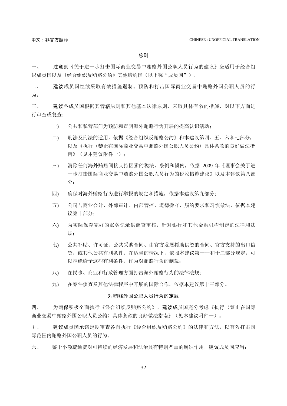总则

一、 注意到《关于进一步打击国际商业交易中贿赂外国公职人员行为的建议》应适用于经合组 织成员国以及《经合组织反贿赂公约》其他缔约国(以下称"成员国")。

二、 建议成员国继续采取有效措施遏制、预防和打击国际商业交易中贿赂外国公职人员的行 为。

三、 建议各成员国根据其管辖原则和其他基本法律原则,采取具体有效的措施,对以下方面进 行审查或复查:

- 一) 公共和私营部门为预防和查明海外贿赂行为开展的提高认识活动;
- 二) 刑法及刑法的适用,依据《经合组织反贿赂公约》和本建议第四、五、六和七部分, 以及《执行〈禁止在国际商业交易中贿赂外国公职人员公约〉具体条款的良好做法指 南》(见本建议附件一);
- 三) 消除任何海外贿赂间接支持因素的税法、条例和惯例,依据 2009 年《理事会关于进 一步打击国际商业交易中贿赂外国公职人员行为的税收措施建议》以及本建议第八部 分;
- 四) 确保对海外贿赂行为进行举报的规定和措施,依据本建议第九部分;
- 五) 公司与商业会计、外部审计、内部管控、道德操守、履约要求和习惯做法,依据本建 议第十部分;
- 六) 为实际保存完好的账务记录供调查审核,针对银行和其他金融机构制定的法律和法 规;
- 七) 公共补贴、许可证、公共采购合同、由官方发展援助供资的合同、官方支持的出口信 贷,或其他公共有利条件。在适当的情况下,依照本建议第十一和十二部分规定,可 以拒绝给予这些有利条件,作为对贿赂行为的制裁;
- 八) 在民事、商业和行政管理方面打击海外贿赂行为的法律法规;
- 九) 在案件侦查及其他法律程序中开展的国际合作,依据本建议第十三部分。

#### 对贿赂外国公职人员行为的定罪

四、 为确保积极全面执行《经合组织反贿赂公约》,建议成员国充分考虑《执行〈禁止在国际 商业交易中贿赂外国公职人员公约〉具体条款的良好做法指南》(见本建议附件一)。

五、 建议成员国承诺定期审查各自执行《经合组织反贿赂公约》的法律和方法,以有效打击国 际范围内贿赂外国公职人员的行为。

六、 鉴于小额疏通费对可持续的经济发展和法治具有特别严重的腐蚀作用,建议成员国应当: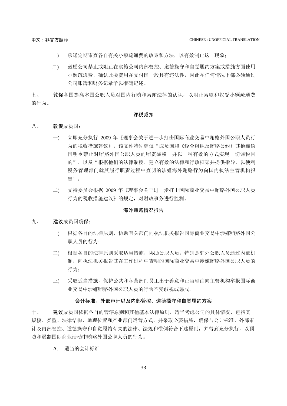- 一) 承诺定期审查各自有关小额疏通费的政策和方法,以有效制止这一现象;
- 二) 鼓励公司禁止或阻止在实施公司内部管控、道德操守和自觉履约方案或措施方面使用 小额疏通费,确认此类费用在支付国一般具有违法性,因此在任何情况下都必须通过 公司账簿和财务记录予以准确记述。

七、 敦促各国提高本国公职人员对国内行贿和索贿法律的认识,以阻止索取和收受小额疏通费 的行为。

#### 课税减扣

- 八、 敦促成员国:
	- 一) 立即充分执行 2009 年《理事会关于进一步打击国际商业交易中贿赂外国公职人员行 为的税收措施建议》,该文件特别建议"成员国和《经合组织反贿赂公约》其他缔约 国明令禁止对贿赂外国公职人员的贿资减税,并以一种有效的方式实现一切课税目 的",以及"根据他们的法律制度,建立有效的法律和行政框架并提供指导,以便利 税务管理部门就其履行职责过程中查明的涉嫌海外贿赂行为向国内执法主管机构报 告";
	- 二) 支持委员会根据 2009 年《理事会关于进一步打击国际商业交易中贿赂外国公职人员 行为的税收措施建议》的规定,对财政事务进行监测。

#### 海外贿赂情况报告

- 九、 建议成员国确保:
	- 一) 根据各自的法律原则,协助有关部门向执法机关报告国际商业交易中涉嫌贿赂外国公 职人员的行为:
	- 二) 根据各自的法律原则采取适当措施,协助公职人员,特别是驻外公职人员通过内部机 制,向执法机关报告其在工作过程中查明的国际商业交易中涉嫌贿赂外国公职人员的 行为;
	- 三) 采取适当措施,保护公共和私营部门员工出于善意和正当理由向主管机构举报国际商 业交易中涉嫌贿赂外国公职人员的行为不受歧视或惩戒。

#### 会计标准、外部审计以及内部管控、道德操守和自觉履约方案

十、 建议成员国依据各自的管辖原则和其他基本法律原则,适当考虑公司的具体情况,包括其 规模、类型、法律结构、地理位置和产业部门运营方式,并采取必要措施,确保与会计标准、外部审 计及内部管控、道德操守和自觉履约有关的法律、法规和惯例符合下述原则,并得到充分执行,以预 防和遏制国际商业活动中贿赂外国公职人员的行为。

A. 适当的会计标准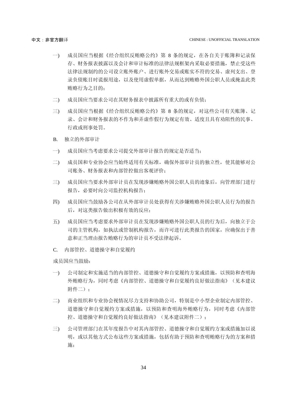- 一) 成员国应当根据《经合组织反贿赂公约》第 8 条的规定,在各自关于账簿和记录保 存、财务报表披露以及会计和审计标准的法律法规框架内采取必要措施,禁止受这些 法律法规制约的公司设立账外账户、进行账外交易或账实不符的交易、虚列支出、登 录负债账目时谎报用途,以及使用虚假单据,从而达到贿赂外国公职人员或掩盖此类 贿赂行为之目的;
- 二) 成员国应当要求公司在其财务报表中披露所有重大的或有负债;
- 三) 成员国应当根据《经合组织反贿赂公约》第 8 条的规定,对这些公司有关账簿、记 录、会计和财务报表的不作为和弄虚作假行为规定有效、适度且具有劝阻性的民事、 行政或刑事处罚。
- B. 独立的外部审计
- 一) 成员国应当考虑要求公司提交外部审计报告的规定是否适当;
- 二) 成员国和专业协会应当始终适用有关标准,确保外部审计员的独立性,使其能够对公 司账务、财务报表和内部管控做出客观评价;
- 三) 成员国应当要求外部审计员在发现涉嫌贿赂外国公职人员的迹象后,向管理部门进行 报告,必要时向公司监控机构报告;
- 四) 成员国应当鼓励各公司在从外部审计员处获得有关涉嫌贿赂外国公职人员行为的报告 后,对这类报告做出积极有效的反应;
- 五) 成员国应当考虑要求外部审计员在发现涉嫌贿赂外国公职人员的行为后,向独立于公 司的主管机构,如执法或管制机构报告,而许可进行此类报告的国家,应确保出于善 意和正当理由报告贿赂行为的审计员不受法律起诉。
- C. 内部管控、道德操守和自觉履约

成员国应当鼓励:

- 一) 公司制定和实施适当的内部管控、道德操守和自觉履约方案或措施,以预防和查明海 外贿赂行为,同时考虑《内部管控、道德操守和自觉履约良好做法指南》(见本建议 附件二);
- 二) 商业组织和专业协会视情况尽力支持和协助公司,特别是中小型企业制定内部管控、 道德操守和自觉履约方案或措施,以预防和查明海外贿赂行为,同时考虑《内部管 控、道德操守和自觉履约良好做法指南》(见本建议附件二);
- 三) 公司管理部门在其年度报告中对其内部管控、道德操守和自觉履约方案或措施加以说 明, 或以其他方式公布这些方案或措施, 包括有助于预防和杳明贿赂行为的方案和措 施;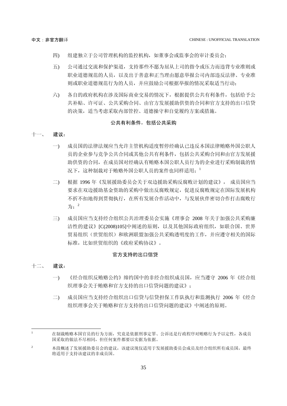- 四) 组建独立于公司管理机构的监控机构,如董事会或监事会的审计委员会;
- 五) 公司通过交流和保护渠道,支持那些不愿为屈从上司的指令或压力而违背专业准则或 职业道德规范的人员,以及出于善意和正当理由愿意举报公司内部违反法律、专业准 则或职业道德规范行为的人员,并应鼓励公司根据举报的情况采取适当行动;
- 六) 各自的政府机构在涉及国际商业交易的情况下,根据提供公共有利条件,包括给予公 共补贴、许可证、公共采购合同、由官方发展援助供资的合同和官方支持的出口信贷 的决策,适当考虑采取内部管控、道德操守和自觉履约方案或措施。

#### 公共有利条件,包括公共采购

#### 十一、 建议:

- 一) 成员国的法律法规应当允许主管机构适度暂停经确认已违反本国法律贿赂外国公职人 员的企业参与竞争公共合同或其他公共有利条件,包括公共采购合同和由官方发展援 助供资的合同,在成员国对经确认有贿赂本国公职人员行为的企业进行采购制裁的情 况下,这种制裁对于贿赂外国公职人员的案件也同样适用;1
- 二) 根据 1996 年《发展援助委员会关于双边援助采购反腐败计划的建议》, 成员国应当 要求在双边援助基金资助的采购中做出反腐败规定,促进反腐败规定在国际发展机构 不折不扣地得到贯彻执行,在所有发展合作活动中,与发展伙伴密切合作打击腐败行 为;<sup>2</sup>
- 三) 成员国应当支持经合组织公共治理委员会实施《理事会 2008 年关于加强公共采购廉 洁性的建议》[C(2008)105]中阐述的原则,以及其他国际政府组织,如联合国、世界 贸易组织(世贸组织)和欧洲联盟加强公共采购透明度的工作,并应遵守相关的国际 标准,比如世贸组织的《政府采购协议》。

#### 官方支持的出口信贷

#### 十二、 建议:

 $\overline{a}$ 

- 一) 《经合组织反贿赂公约》缔约国中的非经合组织成员国,应当遵守 2006 年《经合组 织理事会关于贿赂和官方支持的出口信贷问题的建议》;
- 二) 成员国应当支持经合组织出口信贷与信贷担保工作队执行和监测执行 2006 年《经合 组织理事会关于贿赂和官方支持的出口信贷问题的建议》中阐述的原则。

<sup>1</sup> 在制裁贿赂本国官员的行为方面,究竟是依据刑事定罪、公诉还是行政程序对贿赂行为予以定性,各成员 国采取的做法不尽相同,但任何案件都要以实据为依据。

<sup>2</sup> 本段概述了发展援助委员会的建议,该建议现仅适用于发展援助委员会成员及经合组织所有成员国,最终 将适用于支持该建议的非成员国。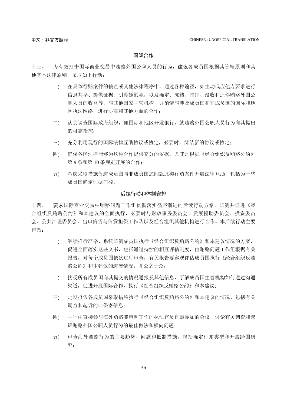#### 国际合作

十三、 为有效打击国际商业交易中贿赂外国公职人员的行为,建议各成员国根据其管辖原则和其 他基本法律原则,采取如下行动:

- 一) 在具体行贿案件的侦查或其他法律程序中,通过各种途径,如主动或应他方要求进行 信息共享、提供证据、引渡嫌疑犯,以及确定、冻结、扣押、没收和追偿贿赂外国公 职人员的收益等,与其他国家主管机构,并酌情与涉及成员国和非成员国的国际和地 区执法网络,进行协商和其他方面的合作;
- 二) 认真调查国际政府组织,如国际和地区开发银行,就贿赂外国公职人员行为向其提出 的可靠指控;
- 三) 充分利用现行的国际法律互助协议或协定,必要时,缔结新的协议或协定;
- 四) 确保各国法律能够为这种合作提供充分的依据,尤其是根据《经合组织反贿赂公约》 第 9 条和第 10 条规定开展的合作;
- 五) 考虑采取措施促进成员国与非成员国之间就此类行贿案件开展法律互助,包括为一些 成员国确定证据门槛。

#### 后续行动和体制安排

十四、 要求国际商业交易中贿赂问题工作组贯彻落实循序渐进的后续行动方案,监测并促进《经 合组织反贿赂公约》和本建议的全面执行,必要时与财政事务委员会、发展援助委员会、投资委员 会、公共治理委员会、出口信贷与信贷担保工作队以及经合组织其他机构进行合作。本后续行动主要 包括:

- 一) 继续推行严格、系统监测成员国执行《经合组织反贿赂公约》和本建议情况的方案, 促进全面落实这些文书,包括通过持续的相互评估制度,由贿赂问题工作组根据有关 报告,对每个成员国依次进行审查,有关报告要客观评估成员国执行《经合组织反贿 赂公约》和本建议的进展情况,并公之于众;
- 二) 接受所有成员国向其提交的情况通报及其他信息,了解成员国主管机构如何通过沟通 渠道,促进开展国际合作,执行《经合组织反贿赂公约》和本建议;
- 三) 定期报告各成员国采取措施执行《经合组织反贿赂公约》和本建议的情况,包括有关 调查和起诉的非保密信息;
- 四) 举行由直接参与海外贿赂罪审判工作的执法官员自愿参加的会议,讨论有关调查和起 诉贿赂外国公职人员行为的最佳做法和横向问题;
- 五) 审查海外贿赂行为的主要趋势、问题和抵制措施,包括确定行贿类型和开展跨国研 究;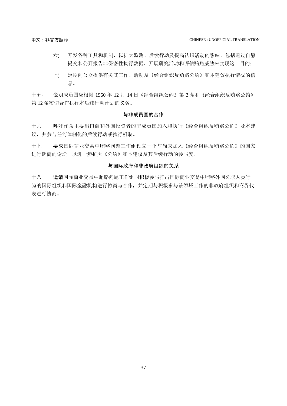- 六) 开发各种工具和机制,以扩大监测、后续行动及提高认识活动的影响,包括通过自愿 提交和公开报告非保密性执行数据、开展研究活动和评估贿赂威胁来实现这一目的;
- 七) 定期向公众提供有关其工作、活动及《经合组织反贿赂公约》和本建议执行情况的信 息。

十五、 说明成员国应根据 1960 年 12 月 14 日《经合组织公约》第 3 条和《经合组织反贿赂公约》 第 12 条密切合作执行本后续行动计划的义务。

#### 与非成员国的合作

十六、 呼吁作为主要出口商和外国投资者的非成员国加入和执行《经合组织反贿赂公约》及本建 议,并参与任何体制化的后续行动或执行机制。

十七、 要求国际商业交易中贿赂问题工作组设立一个与尚未加入《经合组织反贿赂公约》的国家 进行磋商的论坛,以进一步扩大《公约》和本建议及其后续行动的参与度。

#### 与国际政府和非政府组织的关系

十八、 邀请国际商业交易中贿赂问题工作组同积极参与打击国际商业交易中贿赂外国公职人员行 为的国际组织和国际金融机构进行协商与合作,并定期与积极参与该领域工作的非政府组织和商界代 表进行协商。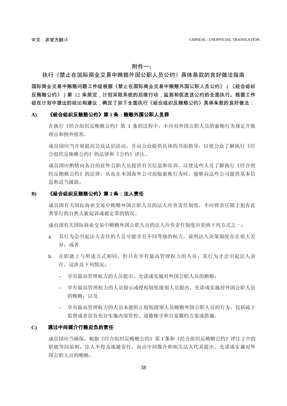#### 附件一:

### 执行《禁止在国际商业交易中贿赂外国公职人员公约》具体条款的良好做法指南

国际商业交易中贿赂问题工作组根据《禁止在国际商业交易中贿赂外国公职人员公约》(《经合组织 反贿赂公约》)第 12 条规定,计划采取系统的后续行动,监测和促进该公约的全面执行。根据工作 组在计划中提出的结论和建议,确定了如下全面执行《经合组织反贿赂公约》具体条款的良好做法:

#### **A)** 《经合组织反贿赂公约》第 **1** 条:贿赂外国公职人员罪

在执行《经合组织反贿赂公约》第 1 条的过程中,不应对外国公职人员的索贿行为规定开脱 理由和例外情形。

成员国应当开展提高公众认识活动,并向公众提供具体的书面指导,以使公众了解执行《经 合组织反贿赂公约》的法律和《公约》评注。

成员国应酌情向各自的驻外公职人员提供有关信息和培训,以使这些人员了解执行《经合组 织反贿赂公约》的法律,从而在本国海外公司面临索贿行为时,能够向这些公司提供基本信 息和适当援助。

#### **B)** 《经合组织反贿赂公约》第 **2** 条:法人责任

成员国有关国际商业交易中贿赂外国公职人员的法人应负责任制度,不应将责任限于犯有此 类罪行的自然人被起诉或被定罪的情况。

成员国有关国际商业交易中贿赂外国公职人员的法人应负责任制度应采纳下列方式之一:

- a. 其行为会引起法人责任的人员可能享有不同等级的权力,说明法人决策制度存在很大差 异;或者
- b. 在职能上与所述方式相同,但只有享有最高管理权力的人员,其行为才会引起法人责 任,这涉及下列情况:
	- 享有最高管理权力的人员提出、允诺或实施对外国公职人员的贿赂;
	- 享有最高管理权力的人员指示或授权较低级别人员提出、允诺或实施对外国公职人员 的贿赂;以及
	- 享有最高管理权力的人员未能阻止较低级别人员贿赂外国公职人员的行为,包括疏于 监督或者没有充分实施内部管控、道德操守和自觉履约方案或措施。

#### **C)** 通过中间媒介行贿应负的责任

成员国应当确保,根据《经合组织反贿赂公约》第1条和《经合组织反贿赂公约》评注 2 中的 职能等同原则,法人不得为逃避责任,而由中间媒介和相关法人代其提出、允诺或实施对外 国公职人员的贿赂。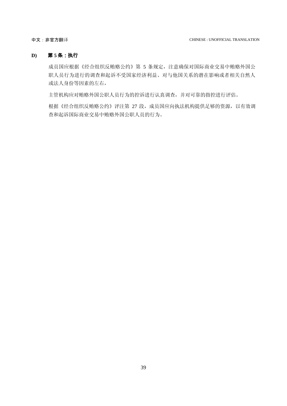中文:非官方翻译 CHINESE : UNOFFICIAL TRANSLATION

#### **D)** 第 **5** 条:执行

成员国应根据《经合组织反贿赂公约》第 5 条规定,注意确保对国际商业交易中贿赂外国公 职人员行为进行的调查和起诉不受国家经济利益、对与他国关系的潜在影响或者相关自然人 或法人身份等因素的左右,

主管机构应对贿赂外国公职人员行为的控诉进行认真调查,并对可靠的指控进行评估。

根据《经合组织反贿赂公约》评注第 27 段,成员国应向执法机构提供足够的资源,以有效调 查和起诉国际商业交易中贿赂外国公职人员的行为。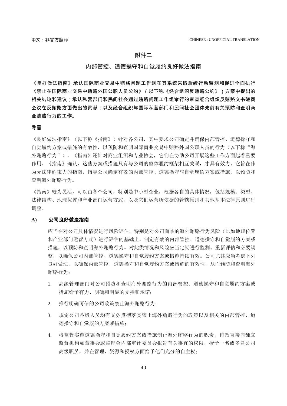#### 附件二

### 内部管控、道德操守和自觉履约良好做法指南

《良好做法指南》承认国际商业交易中贿赂问题工作组在其系统采取后续行动监测和促进全面执行 《禁止在国际商业交易中贿赂外国公职人员公约》(以下称《经合组织反贿赂公约》)方案中提出的 相关结论和建议;承认私营部门和民间社会通过贿赂问题工作组举行的审查经合组织反贿赂文书磋商 会议在反贿赂方面做出的贡献;以及经合组织与国际私营部门和民间社会团体先前有关预防和查明商 业贿赂行为的工作。

#### 导言

《良好做法指南》(以下称《指南》)针对各公司,其中要求公司确定并确保内部管控、道德操守和 自觉履约方案或措施的有效性,以预防和查明国际商业交易中贿赂外国公职人员的行为(以下称"海 外贿赂行为"),《指南》还针对商业组织和专业协会,它们在协助公司开展这些工作方面起着重要 作用。《指南》确认,这些方案或措施只有与公司的整体履约框架相互关联,才具有效力。它旨在作 为无法律约束力的指南,指导公司确定有效的内部管控、道德操守与自觉履约方案或措施,以预防和 查明海外贿赂行为。

《指南》较为灵活,可以由各个公司,特别是中小型企业,根据各自的具体情况,包括规模、类型、 法律结构、地理位置和产业部门运营方式,以及它们运营所依据的管辖原则和其他基本法律原则进行 调整。

#### **A)** 公司良好做法指南

应当在对公司具体情况进行风险评估,特别是对公司面临的海外贿赂行为风险(比如地理位置 和产业部门运营方式)进行评估的基础上,制定有效的内部管控、道德操守和自觉履约方案或 措施,以预防和查明海外贿赂行为。对此类情况和风险应当定期进行监测、重新评估和必要调 整,以确保公司内部管控、道德操守和自觉履约方案或措施持续有效。公司尤其应当考虑下列 良好做法,以确保内部管控、道德操守和自觉履约方案或措施的有效性,从而预防和查明海外 贿赂行为:

- 1. 高级管理部门对公司预防和查明海外贿赂行为的内部管控、道德操守和自觉履约方案或 措施给予有力、明确和明显的支持和承诺;
- 2. 推行明确可信的公司政策禁止海外贿赂行为;
- 3. 规定公司各级人员均有义务贯彻落实禁止海外贿赂行为的政策以及相关的内部管控、道 德操守和自觉履约方案或措施;
- 4. 将监督实施道德操守和自觉履约方案或措施制止海外贿赂行为的职责,包括直接向独立 监督机构如董事会或监理会内部审计委员会报告有关事宜的权限,授予一名或多名公司 高级职员,并在管理、资源和授权方面给予他们充分的自主权;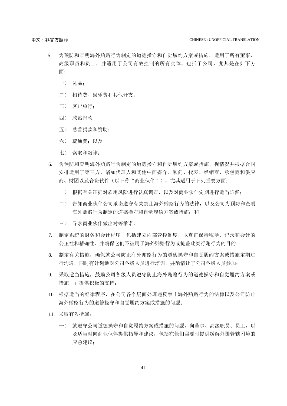- 5. 为预防和查明海外贿赂行为制定的道德操守和自觉履约方案或措施,适用于所有董事、 高级职员和员工,并适用于公司有效控制的所有实体,包括子公司,尤其是在如下方 面:
	- 一) 礼品;
	- 二) 招待费、娱乐费和其他开支;
	- 三) 客户旅行;
	- 四) 政治捐款
	- 五) 慈善捐款和赞助;
	- 六) 疏通费;以及
	- 七) 索取和敲诈;
- 6. 为预防和查明海外贿赂行为制定的道德操守和自觉履约方案或措施,视情况并根据合同 安排适用于第三方,诸如代理人和其他中间媒介、顾问、代表、经销商、承包商和供应 商、财团以及合资伙伴(以下称"商业伙伴"),尤其适用于下列重要方面:
	- 一) 根据有关证据对雇用风险进行认真调查,以及对商业伙伴定期进行适当监督;
	- 二) 告知商业伙伴公司承诺遵守有关禁止海外贿赂行为的法律,以及公司为预防和查明 海外贿赂行为制定的道德操守和自觉履约方案或措施; 和
	- 三) 寻求商业伙伴做出对等承诺。
- 7. 制定系统的财务和会计程序,包括建立内部管控制度,以真正保持账簿、记录和会计的 公正性和精确性,并确保它们不被用于海外贿赂行为或掩盖此类行贿行为的目的;
- 8. 制定有关措施,确保就公司防止海外贿赂行为的道德操守和自觉履约方案或措施定期进 行沟通,同时有计划地对公司各级人员进行培训,并酌情让子公司各级人员参加;
- 9. 采取适当措施,鼓励公司各级人员遵守防止海外贿赂行为的道德操守和自觉履约方案或 措施,并提供积极的支持;
- 10. 根据适当的纪律程序,在公司各个层面处理违反禁止海外贿赂行为的法律以及公司防止 海外贿赂行为的道德操守和自觉履约方案或措施的问题;
- 11. 采取有效措施:
	- 一) 就遵守公司道德操守和自觉履约方案或措施的问题,向董事、高级职员、员工,以 及适当时向商业伙伴提供指导和建议,包括在他们需要时提供缓解外国管辖困境的 应急建议;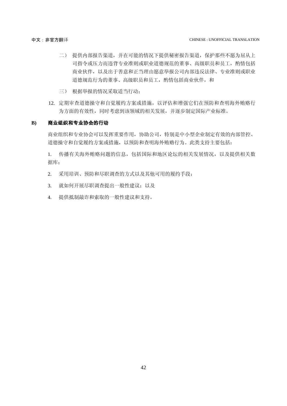- 二) 提供内部报告渠道,并在可能的情况下提供秘密报告渠道,保护那些不愿为屈从上 司指令或压力而违背专业准则或职业道德规范的董事、高级职员和员工,酌情包括 商业伙伴,以及出于善意和正当理由愿意举报公司内部违反法律、专业准则或职业 道德规范行为的董事、高级职员和员工,酌情包括商业伙伴,和
- 三) 根据举报的情况采取适当行动;
- 12. 定期审查道德操守和自觉履约方案或措施,以评估和增强它们在预防和查明海外贿赂行 为方面的有效性,同时考虑到该领域的相关发展,并逐步制定国际产业标准。

#### **B)** 商业组织和专业协会的行动

商业组织和专业协会可以发挥重要作用,协助公司,特别是中小型企业制定有效的内部管控、 道德操守和自觉履约方案或措施,以预防和查明海外贿赂行为。此类支持主要包括:

1. 传播有关海外贿赂问题的信息,包括国际和地区论坛的相关发展情况,以及提供相关数 据库;

- 2. 采用培训、预防和尽职调查的方式以及其他可用的履约手段;
- 3. 就如何开展尽职调查提出一般性建议;以及
- 4. 提供抵制敲诈和索取的一般性建议和支持。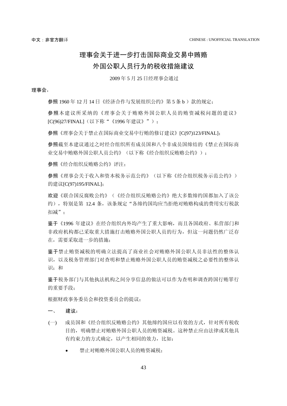## <span id="page-40-0"></span>理事会关于进一步打击国际商业交易中贿赂 外国公职人员行为的税收措施建议

2009 年 5 月 25 日经理事会通过

#### 理事会,

参照 1960年 12 月 14 日《经济合作与发展组织公约》第 5 条 b )款的规定;

参照本建议所采纳的《理事会关于贿赂外国公职人员的贿资减税问题的建议》 [C(96)27/FINAL](以下称"《1996 年建议》");

参照《理事会关于禁止在国际商业交易中行贿的修订建议》[C(97)123/FINAL];

参照截至本建议通过之时经合组织所有成员国和八个非成员国缔结的《禁止在国际商 业交易中贿赂外国公职人员公约》(以下称《经合组织反贿赂公约》);

参照《经合组织反贿赂公约》评注;

参照《理事会关于收入和资本税务示范公约》(以下称《经合组织税务示范公约》) 的建议[C(97)195/FINAL];

欢迎《联合国反腐败公约》(《经合组织反贿赂公约》绝大多数缔约国都加入了该公 约), 特别是第 12.4 条,该条规定"各缔约国均应当拒绝对贿赂构成的费用实行税款 扣减";

鉴于《1996 年建议》在经合组织内外均产生了重大影响,而且各国政府、私营部门和 非政府机构都已采取重大措施打击贿赂外国公职人员的行为,但这一问题仍然广泛存 在,需要采取进一步的措施;

鉴于禁止贿资减税的明确立法提高了商业社会对贿赂外国公职人员非法性的整体认 识,以及税务管理部门对查明和禁止贿赂外国公职人员的贿资减税之必要性的整体认 识;和

鉴于税务部门与其他执法机构之间分享信息的做法可以作为查明和调查跨国行贿罪行 的重要手段;

根据财政事务委员会和投资委员会的提议;

#### 一、 建议:

- (一) 成员国和《经合组织反贿赂公约》其他缔约国应以有效的方式,针对所有税收 目的,明确禁止对贿赂外国公职人员的贿资减税。这种禁止应由法律或其他具 有约束力的方式确定,以产生相同的效力,比如:
	- 禁止对贿赂外国公职人员的贿资减税;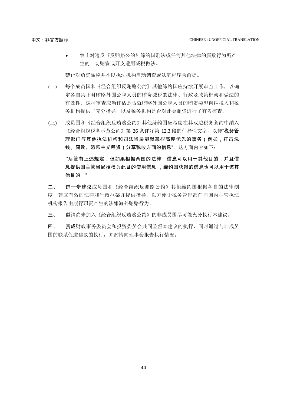禁止对违反《反贿赂公约》缔约国刑法或任何其他法律的腐败行为所产 生的一切贿资或开支适用减税做法。

禁止对贿资减税并不以执法机构启动调查或法庭程序为前提。

- (二) 每个成员国和《经合组织反贿赂公约》其他缔约国应持续开展审查工作,以确 定各自禁止对贿赂外国公职人员的贿资减税的法律、行政及政策框架和做法的 有效性。这种审查应当评估是否就贿赂外国公职人员的贿资类型向纳税人和税 务机构提供了充分指导,以及税务机构是否对此类贿资进行了有效核查。
- (三) 成员国和《经合组织反贿赂公约》其他缔约国应考虑在其双边税务条约中纳入 《经合组织税务示范公约》第 26 条评注第 12.3 段的任择性文字, 以便"税务管 理部门与其他执法机构和司法当局能就某些高度优先的事务(例如,打击洗 钱、腐败、恐怖主义筹资)分享税收方面的信息"。这方面内容如下:

"尽管有上述规定,但如果根据两国的法律,信息可以用于其他目的,并且信 息提供国主管当局授权为此目的使用信息 ,缔约国获得的信息也可以用于该其 他目的。"

二、 进一步建议成员国和《经合组织反贿赂公约》其他缔约国根据各自的法律制 度,建立有效的法律和行政框架并提供指导,以方便于税务管理部门向国内主管执法 机构报告由履行职责产生的涉嫌海外贿赂行为。

三、 邀请尚未加入《经合组织反贿赂公约》的非成员国尽可能充分执行本建议。

<span id="page-41-0"></span>四、 责成财政事务委员会和投资委员会共同监督本建议的执行,同时通过与非成员 国的联系促进建议的执行,并酌情向理事会报告执行情况。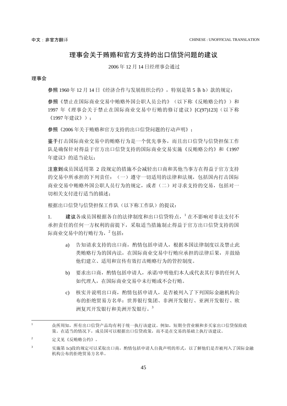### 理事会关于贿赂和官方支持的出口信贷问题的建议

2006 年 12 月 14 日经理事会通过

#### 理事会

参照 1960年 12 月 14 日《经济合作与发展组织公约》,特别是第 5 条 b)款的规定;

参照《禁止在国际商业交易中贿赂外国公职人员公约》(以下称《反贿赂公约》)和 1997 年《理事会关于禁止在国际商业交易中行贿的修订建议》[C(97)123](以下称 《1997 年建议》);

参照《2006 年关于贿赂和官方支持的出口信贷问题的行动声明》;

鉴于打击国际商业交易中的贿赂行为是一个优先事务,而且出口信贷与信贷担保工作 队是确保针对得益于官方出口信贷支持的国际商业交易实施《反贿赂公约》和《1997 年建议》的适当论坛;

注意到成员国适用第 2 段规定的措施不会减轻出口商和其他当事方在得益于官方支持 的交易中所承担的下列责任:(一)遵守一切适用的法律和法规,包括国内打击国际 商业交易中贿赂外国公职人员行为的规定,或者(二)对寻求支持的交易,包括对一 切相关支付进行适当的描述;

根据出口信贷与信贷担保工作队(以下称工作队)的提议:

1. 建议各成员国根据各自的法律制度和出口信贷特点, 一在不影响对非法支付不 承担责任的任何一方权利的前提下,采取适当措施制止得益于官方出口信贷支持的国 际商业交易中的行贿行为, <sup>2</sup> 包括:

- a) 告知请求支持的出口商, 酌情包括申请人, 根据本国法律制度以及禁止此 类贿赂行为的国内法,在国际商业交易中行贿应承担的法律后果,并鼓励 他们建立、适用和宣传有效打击贿赂行为的管控制度。
- b) 要求出口商, 酌情包括申请人, 承诺/申明他们本人或代表其行事的任何人 如代理人,在国际商业交易中未行贿或不会行贿。
- c) 核实并说明出口商, 酌情包括申请人, 是否被列入了下列国际金融机构公 布的拒绝贸易方名单:世界银行集团、非洲开发银行、亚洲开发银行、欧 洲复兴开发银行和美洲开发银行。<sup>3</sup>

 $\overline{a}$ 

<sup>1</sup> 众所周知,所有出口信贷产品均有利于统一执行该建议。例如,短期全营业额和多买家出口信贷保险政 策。在适当的情况下,成员国可以根据出口信贷政策,而不是在交易的基础上执行该建议。

 $2 \qquad \qquad \widehat{\pi} \times \mathbb{R} \times \widehat{\pi}$  陈必约》。

<sup>3</sup> 实施第 1c)段的规定可以采取出口商, 酌情包括申请人自我声明的形式, 以了解他们是否被列入了国际金融 机构公布的拒绝贸易方名单。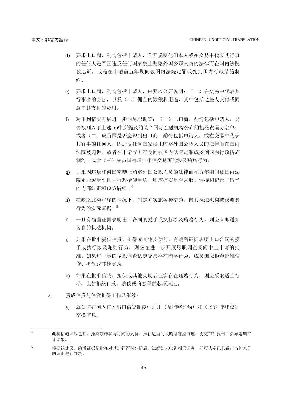- d) 要求出口商, 酌情包括申请人, 公开说明他们本人或在交易中代表其行事 的任何人是否因违反任何国家禁止贿赂外国公职人员的法律而在国内法院 被起诉,或是在申请前五年期间被国内法院定罪或受到国内行政措施制 约。
- e) 要求出口商, 酌情包括申请人, 应要求公开说明: (一) 在交易中代表其 行事者的身份,以及(二)佣金的数额和用途,其中包括这些人支付或同 意向其支付的费用。
- f) 对下列情况开展进一步的尽职调查:(一)出口商,酌情包括申请人,是 否被列入了上述 c)中所提及的某个国际金融机构公布的拒绝贸易方名单; 或者(二)成员国是否意识到出口商,酌情包括申请人,或在交易中代表 其行事的任何人,因违反任何国家禁止贿赂外国公职人员的法律而在国内 法院被起诉,或者在申请前五年期间被国内法院定罪或受到国内行政措施 制约;或者(三)成员国有理由相信交易可能涉及贿赂行为。
- g) 如果因违反任何国家禁止贿赂外国公职人员的法律而在五年期间被国内法 院定罪或受到国内行政措施制约,则应核实是否采取、保持和记录了适当 的内部纠正和预防措施。<sup>4</sup>
- h) 在缺乏此类程序的情况下,制定并实施各种措施,向其执法机构披露贿赂 行为的实际证据。<sup>5</sup>
- i) 一旦有确凿证据表明出口合同的授予或执行涉及贿赂行为,则应立即通知 各自的执法机构。
- j) 如果在批准提供信贷、担保或其他支助前,有确凿证据表明出口合同的授 予或执行涉及贿赂行为,则应在进一步开展尽职调查期间中止申请的批 准。如果进一步的尽职调查认定交易存在贿赂行为,成员国应拒绝批准信 贷、担保或其他支助。
- k) 如果在批准信贷、担保或其他支助后证实存在贿赂行为,则应采取适当行 动,比如拒绝付款、赔偿或将提供的款项退还。
- 2. 责成信贷与信贷担保工作队继续:

 $\overline{a}$ 

a) 就如何在国内官方出口信贷制度中适用《反贿赂公约》和《1997 年建议》 交换信息。

<sup>4</sup> 此类措施可以包括:撤换涉嫌参与行贿的人员、推行适当的反贿赂管控制度、提交审计报告并公布定期审 计结果。

<sup>5</sup> 根据该建议,确凿证据是指在对其进行评判分析后, 法庭如未收到相反证据,即可认定已具备正当和充分 的理由进行判决。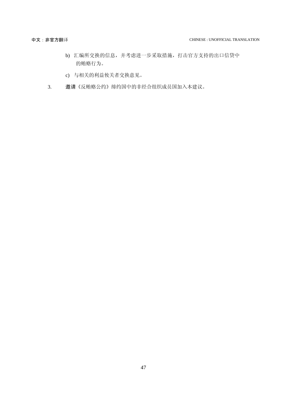- b) 汇编所交换的信息,并考虑进一步采取措施,打击官方支持的出口信贷中 的贿赂行为。
- c) 与相关的利益攸关者交换意见。
- 3. 邀请《反贿赂公约》缔约国中的非经合组织成员国加入本建议。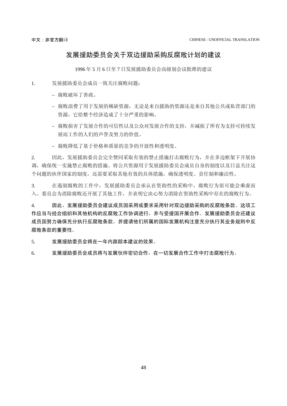### 发展援助委员会关于双边援助采购反腐败计划的建议

1996 年 5 月 6 日至 7 日发展援助委员会高级别会议批准的建议

- <span id="page-45-0"></span>1. 发展援助委员会成员一致关注腐败问题:
	- 腐败破坏了善政。
	- 腐败浪费了用于发展的稀缺资源,无论是来自援助的资源还是来自其他公共或私营部门的 资源, 它给整个经济造成了十分严重的影响。
	- 腐败损害了发展合作的可信性以及公众对发展合作的支持,并减损了所有为支持可持续发 展而工作的人们的声誉及努力的价值。
	- 腐败降低了基于价格和质量的竞争的开放性和透明度。

2. 因此,发展援助委员会完全赞同采取有效的禁止措施打击腐败行为,并在多边框架下开展协 调,确保统一实施禁止腐败的措施。将公共资源用于发展援助委员会成员自身的制度以及日益关注这 个问题的伙伴国家的制度,还需要采取其他有效的具体措施,确保透明度、责任制和廉洁性。

3. 在遏制腐败的工作中,发展援助委员会承认在资助性的采购中,腐败行为很可能会乘虚而 入。委员会为消除腐败还开展了其他工作,并表明它决心努力消除在资助性采购中存在的腐败行为。

4. 因此,发展援助委员会建议成员国采用或要求采用针对双边援助采购的反腐败条款。这项工 作应当与经合组织和其他机构的反腐败工作协调进行,并与受援国开展合作。发展援助委员会还建议 成员国努力确保充分执行反腐败条款,并提请他们所属的国际发展机构注意充分执行其业务规则中反 腐败条款的重要性。

5. 发展援助委员会将在一年内跟踪本建议的效果。

6. 发展援助委员会成员将与发展伙伴密切合作,在一切发展合作工作中打击腐败行为。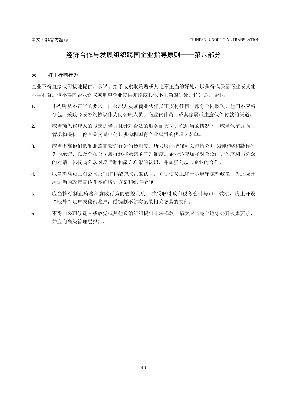### 经济合作与发展组织跨国企业指导原则——第六部分

#### <span id="page-46-0"></span>六、 打击行贿行为

企业不得直接或间接地提供、承诺、给予或索取贿赂或其他不正当的好处,以获得或保留商业或其他 不当利益。也不得向企业索取或期望企业提供贿赂或其他不正当的好处。特别是,企业:

- 1. 不得听从不正当的要求,向公职人员或商业伙伴员工支付任何一部分合同款项。他们不应将 分包、采购令或咨询协议作为向公职人员、商业伙伴员工或其家属或生意伙伴付款的渠道。
- 2. 应当确保代理人的报酬适当并且针对合法的服务而支付。在适当的情况下,应当保留并向主 管机构提供一份有关交易中公共机构和国有企业雇用的代理人名单。
- 3. 应当提高他们抵制贿赂和敲诈行为的透明度。所采取的措施可以包括公开抵制贿赂和敲诈行 为的承诺,以及公布公司履行这些承诺的管理制度。企业还应加强对公众的开放度和与公众 的对话,以提高公众对反行贿和敲诈政策的认识,并加强公众与企业的合作。
- 4. 应当提高员工对公司反行贿和敲诈政策的认识,并促使员工进一步遵守这些政策,为此应开 展适当的政策宣传并实施培训方案和纪律措施。
- 5. 应当推行制止贿赂和腐败行为的管控制度,并采取财政和税务会计与审计做法,防止开设 "账外"账户或秘密账户,或编制不如实记录相关交易的文件。
- 6. 不得向公职候选人或政党或其他政治组织提供非法捐款。捐款应当完全遵守公开披露要求, 并应向高级管理层报告。